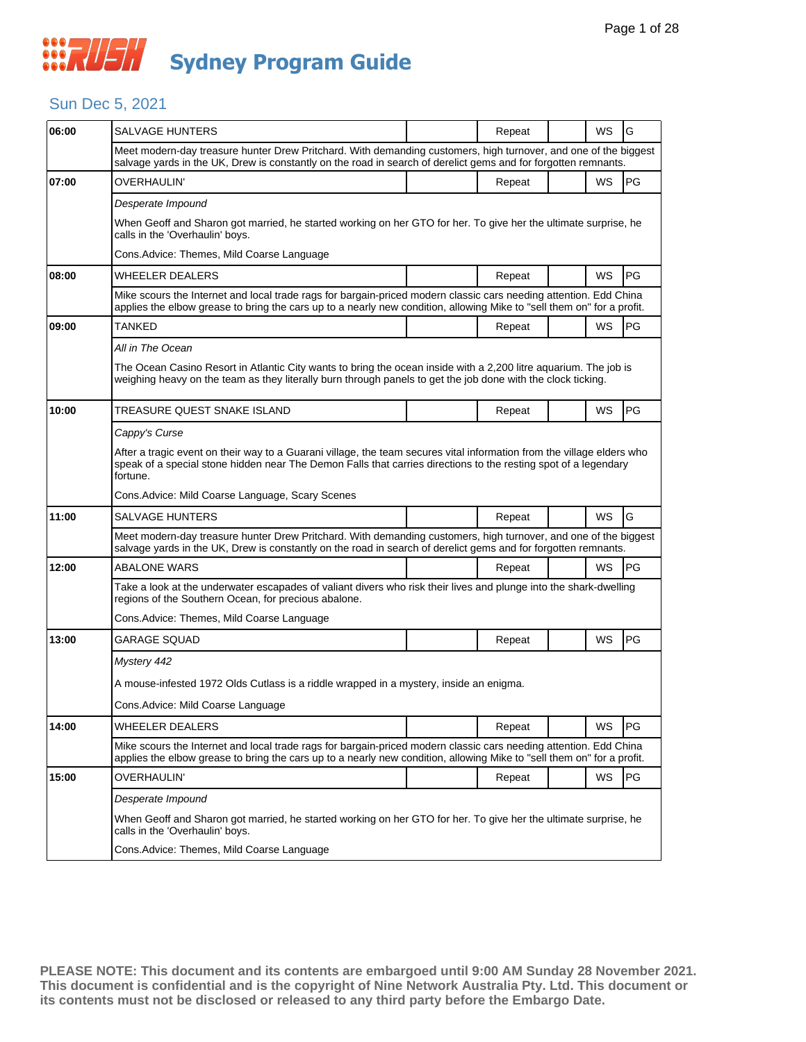### Sun Dec 5, 2021

| 06:00 | SALVAGE HUNTERS                                                                                                                                                                                                                                       |  | Repeat |  | WS        | G         |  |  |  |
|-------|-------------------------------------------------------------------------------------------------------------------------------------------------------------------------------------------------------------------------------------------------------|--|--------|--|-----------|-----------|--|--|--|
|       | Meet modern-day treasure hunter Drew Pritchard. With demanding customers, high turnover, and one of the biggest<br>salvage yards in the UK, Drew is constantly on the road in search of derelict gems and for forgotten remnants.                     |  |        |  |           |           |  |  |  |
| 07:00 | OVERHAULIN'                                                                                                                                                                                                                                           |  | Repeat |  | <b>WS</b> | PG        |  |  |  |
|       | Desperate Impound                                                                                                                                                                                                                                     |  |        |  |           |           |  |  |  |
|       | When Geoff and Sharon got married, he started working on her GTO for her. To give her the ultimate surprise, he<br>calls in the 'Overhaulin' boys.                                                                                                    |  |        |  |           |           |  |  |  |
|       | Cons. Advice: Themes, Mild Coarse Language                                                                                                                                                                                                            |  |        |  |           |           |  |  |  |
| 08:00 | <b>WHEELER DEALERS</b>                                                                                                                                                                                                                                |  | Repeat |  | <b>WS</b> | l PG      |  |  |  |
|       | Mike scours the Internet and local trade rags for bargain-priced modern classic cars needing attention. Edd China<br>applies the elbow grease to bring the cars up to a nearly new condition, allowing Mike to "sell them on" for a profit.           |  |        |  |           |           |  |  |  |
| 09:00 | TANKED                                                                                                                                                                                                                                                |  | Repeat |  | WS        | <b>PG</b> |  |  |  |
|       | All in The Ocean                                                                                                                                                                                                                                      |  |        |  |           |           |  |  |  |
|       | The Ocean Casino Resort in Atlantic City wants to bring the ocean inside with a 2,200 litre aquarium. The job is<br>weighing heavy on the team as they literally burn through panels to get the job done with the clock ticking.                      |  |        |  |           |           |  |  |  |
| 10:00 | TREASURE QUEST SNAKE ISLAND                                                                                                                                                                                                                           |  | Repeat |  | WS        | PG        |  |  |  |
|       | Cappy's Curse                                                                                                                                                                                                                                         |  |        |  |           |           |  |  |  |
|       | After a tragic event on their way to a Guarani village, the team secures vital information from the village elders who<br>speak of a special stone hidden near The Demon Falls that carries directions to the resting spot of a legendary<br>fortune. |  |        |  |           |           |  |  |  |
|       | Cons. Advice: Mild Coarse Language, Scary Scenes                                                                                                                                                                                                      |  |        |  |           |           |  |  |  |
| 11:00 | SALVAGE HUNTERS                                                                                                                                                                                                                                       |  | Repeat |  | WS        | G         |  |  |  |
|       | Meet modern-day treasure hunter Drew Pritchard. With demanding customers, high turnover, and one of the biggest<br>salvage yards in the UK, Drew is constantly on the road in search of derelict gems and for forgotten remnants.                     |  |        |  |           |           |  |  |  |
| 12:00 | <b>ABALONE WARS</b>                                                                                                                                                                                                                                   |  | Repeat |  | WS        | <b>PG</b> |  |  |  |
|       | Take a look at the underwater escapades of valiant divers who risk their lives and plunge into the shark-dwelling<br>regions of the Southern Ocean, for precious abalone.                                                                             |  |        |  |           |           |  |  |  |
|       | Cons. Advice: Themes, Mild Coarse Language                                                                                                                                                                                                            |  |        |  |           |           |  |  |  |
| 13:00 | GARAGE SQUAD                                                                                                                                                                                                                                          |  | Repeat |  | WS        | PG        |  |  |  |
|       | Mystery 442                                                                                                                                                                                                                                           |  |        |  |           |           |  |  |  |
|       | A mouse-infested 1972 Olds Cutlass is a riddle wrapped in a mystery, inside an enigma.                                                                                                                                                                |  |        |  |           |           |  |  |  |
|       | Cons.Advice: Mild Coarse Language                                                                                                                                                                                                                     |  |        |  |           |           |  |  |  |
| 14:00 | WHEELER DEALERS                                                                                                                                                                                                                                       |  | Repeat |  | WS        | PG        |  |  |  |
|       | Mike scours the Internet and local trade rags for bargain-priced modern classic cars needing attention. Edd China<br>applies the elbow grease to bring the cars up to a nearly new condition, allowing Mike to "sell them on" for a profit.           |  |        |  |           |           |  |  |  |
| 15:00 | OVERHAULIN'                                                                                                                                                                                                                                           |  | Repeat |  | WS        | PG        |  |  |  |
|       | Desperate Impound                                                                                                                                                                                                                                     |  |        |  |           |           |  |  |  |
|       | When Geoff and Sharon got married, he started working on her GTO for her. To give her the ultimate surprise, he<br>calls in the 'Overhaulin' boys.                                                                                                    |  |        |  |           |           |  |  |  |
|       | Cons.Advice: Themes, Mild Coarse Language                                                                                                                                                                                                             |  |        |  |           |           |  |  |  |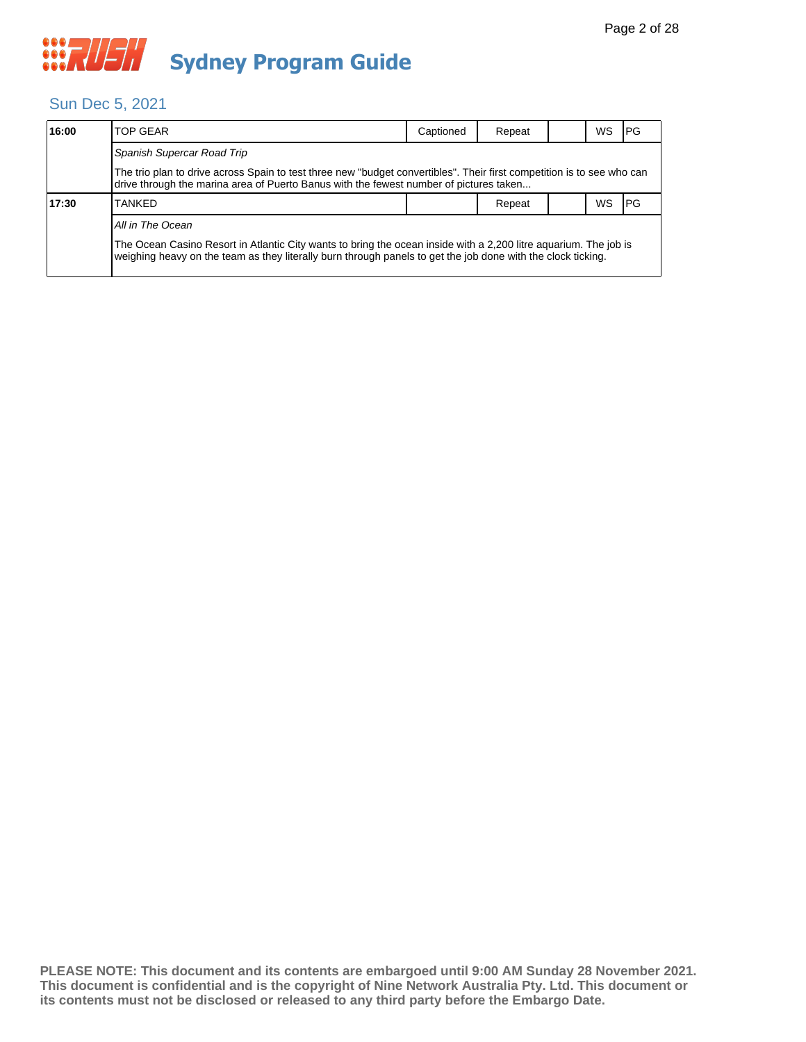#### Sun Dec 5, 2021

| 16:00 | <b>TOP GEAR</b>                                                                                                                                                                                                                  | Captioned | Repeat |      | WS | IPG |  |  |
|-------|----------------------------------------------------------------------------------------------------------------------------------------------------------------------------------------------------------------------------------|-----------|--------|------|----|-----|--|--|
|       | Spanish Supercar Road Trip                                                                                                                                                                                                       |           |        |      |    |     |  |  |
|       | The trio plan to drive across Spain to test three new "budget convertibles". Their first competition is to see who can<br>drive through the marina area of Puerto Banus with the fewest number of pictures taken                 |           |        |      |    |     |  |  |
| 17:30 | Repeat                                                                                                                                                                                                                           |           | WS     | l PG |    |     |  |  |
|       | All in The Ocean                                                                                                                                                                                                                 |           |        |      |    |     |  |  |
|       | The Ocean Casino Resort in Atlantic City wants to bring the ocean inside with a 2,200 litre aquarium. The job is<br>weighing heavy on the team as they literally burn through panels to get the job done with the clock ticking. |           |        |      |    |     |  |  |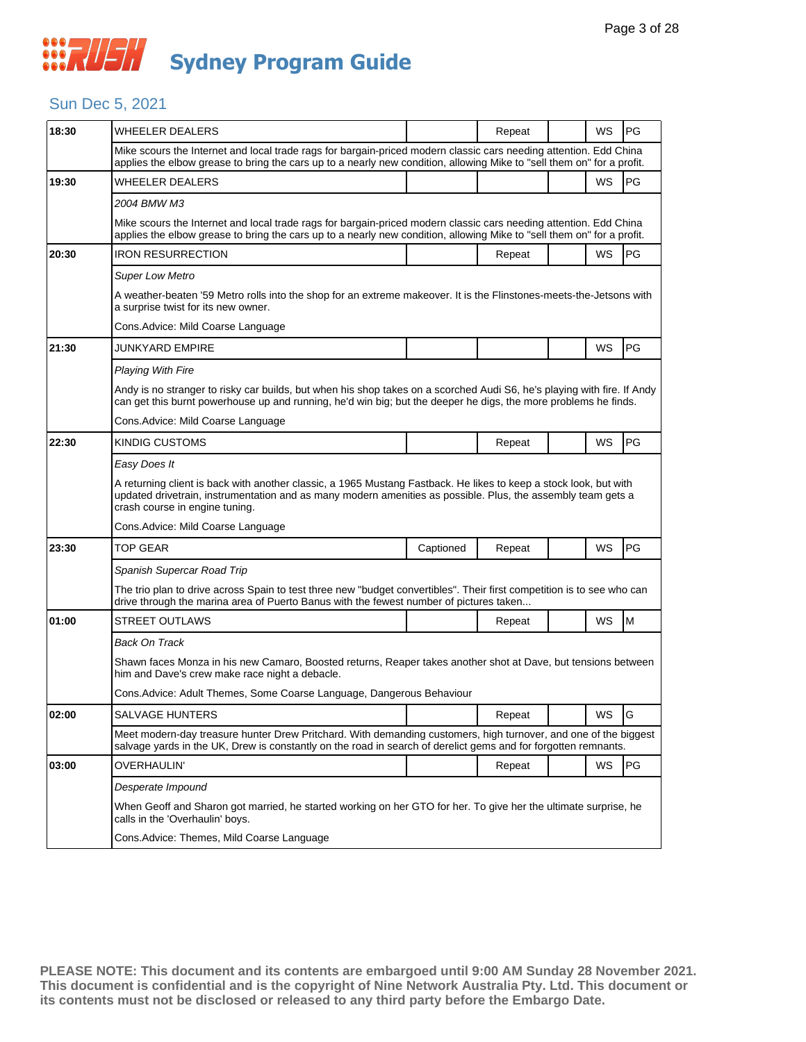#### Sun Dec 5, 2021

| 18:30 | <b>WHEELER DEALERS</b>                                                                                                                                                                                                                                              |           | Repeat |  | WS | PG |  |
|-------|---------------------------------------------------------------------------------------------------------------------------------------------------------------------------------------------------------------------------------------------------------------------|-----------|--------|--|----|----|--|
|       | Mike scours the Internet and local trade rags for bargain-priced modern classic cars needing attention. Edd China<br>applies the elbow grease to bring the cars up to a nearly new condition, allowing Mike to "sell them on" for a profit.                         |           |        |  |    |    |  |
| 19:30 | WHEELER DEALERS                                                                                                                                                                                                                                                     |           |        |  | WS | PG |  |
|       | 2004 BMW M3                                                                                                                                                                                                                                                         |           |        |  |    |    |  |
|       | Mike scours the Internet and local trade rags for bargain-priced modern classic cars needing attention. Edd China<br>applies the elbow grease to bring the cars up to a nearly new condition, allowing Mike to "sell them on" for a profit.                         |           |        |  |    |    |  |
| 20:30 | IRON RESURRECTION                                                                                                                                                                                                                                                   |           | Repeat |  | WS | PG |  |
|       | <b>Super Low Metro</b>                                                                                                                                                                                                                                              |           |        |  |    |    |  |
|       | A weather-beaten '59 Metro rolls into the shop for an extreme makeover. It is the Flinstones-meets-the-Jetsons with<br>a surprise twist for its new owner.                                                                                                          |           |        |  |    |    |  |
|       | Cons. Advice: Mild Coarse Language                                                                                                                                                                                                                                  |           |        |  |    |    |  |
| 21:30 | JUNKYARD EMPIRE                                                                                                                                                                                                                                                     |           |        |  | WS | PG |  |
|       | <b>Playing With Fire</b>                                                                                                                                                                                                                                            |           |        |  |    |    |  |
|       | Andy is no stranger to risky car builds, but when his shop takes on a scorched Audi S6, he's playing with fire. If Andy<br>can get this burnt powerhouse up and running, he'd win big; but the deeper he digs, the more problems he finds.                          |           |        |  |    |    |  |
|       | Cons. Advice: Mild Coarse Language                                                                                                                                                                                                                                  |           |        |  |    |    |  |
| 22:30 | KINDIG CUSTOMS                                                                                                                                                                                                                                                      |           | Repeat |  | WS | PG |  |
|       | Easy Does It                                                                                                                                                                                                                                                        |           |        |  |    |    |  |
|       | A returning client is back with another classic, a 1965 Mustang Fastback. He likes to keep a stock look, but with<br>updated drivetrain, instrumentation and as many modern amenities as possible. Plus, the assembly team gets a<br>crash course in engine tuning. |           |        |  |    |    |  |
|       | Cons.Advice: Mild Coarse Language                                                                                                                                                                                                                                   |           |        |  |    |    |  |
| 23:30 | TOP GEAR                                                                                                                                                                                                                                                            | Captioned | Repeat |  | WS | PG |  |
|       | Spanish Supercar Road Trip                                                                                                                                                                                                                                          |           |        |  |    |    |  |
|       | The trio plan to drive across Spain to test three new "budget convertibles". Their first competition is to see who can<br>drive through the marina area of Puerto Banus with the fewest number of pictures taken                                                    |           |        |  |    |    |  |
| 01:00 | <b>STREET OUTLAWS</b>                                                                                                                                                                                                                                               |           | Repeat |  | WS | M  |  |
|       | Back On Track                                                                                                                                                                                                                                                       |           |        |  |    |    |  |
|       | Shawn faces Monza in his new Camaro, Boosted returns, Reaper takes another shot at Dave, but tensions between<br>him and Dave's crew make race night a debacle.                                                                                                     |           |        |  |    |    |  |
|       | Cons. Advice: Adult Themes, Some Coarse Language, Dangerous Behaviour                                                                                                                                                                                               |           |        |  |    |    |  |
| 02:00 | SALVAGE HUNTERS                                                                                                                                                                                                                                                     |           | Repeat |  | WS | ΙG |  |
|       | Meet modern-day treasure hunter Drew Pritchard. With demanding customers, high turnover, and one of the biggest<br>salvage yards in the UK, Drew is constantly on the road in search of derelict gems and for forgotten remnants.                                   |           |        |  |    |    |  |
| 03:00 | OVERHAULIN'                                                                                                                                                                                                                                                         |           | Repeat |  | WS | PG |  |
|       | Desperate Impound                                                                                                                                                                                                                                                   |           |        |  |    |    |  |
|       | When Geoff and Sharon got married, he started working on her GTO for her. To give her the ultimate surprise, he<br>calls in the 'Overhaulin' boys.                                                                                                                  |           |        |  |    |    |  |
|       | Cons.Advice: Themes, Mild Coarse Language                                                                                                                                                                                                                           |           |        |  |    |    |  |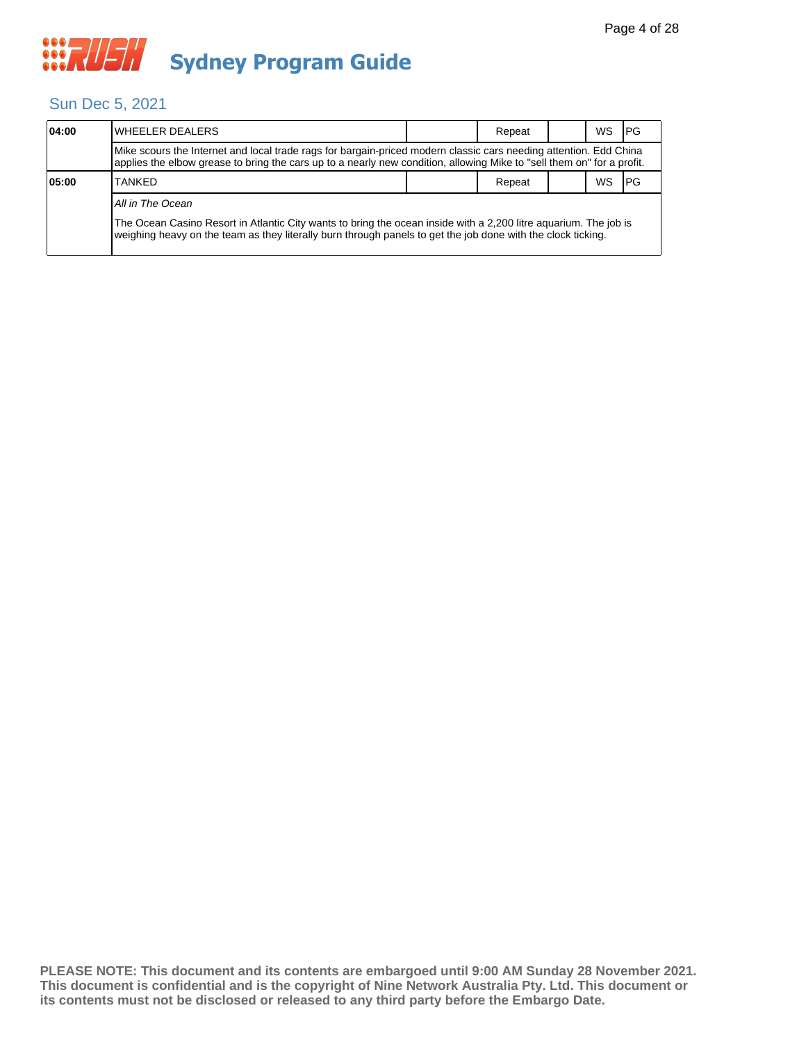

#### Sun Dec 5, 2021

| 04:00 | lWHEELER DEALERS                                                                                                                                                                                                                            |  | Repeat |  | WS | IPG   |  |  |  |
|-------|---------------------------------------------------------------------------------------------------------------------------------------------------------------------------------------------------------------------------------------------|--|--------|--|----|-------|--|--|--|
|       | Mike scours the Internet and local trade rags for bargain-priced modern classic cars needing attention. Edd China<br>applies the elbow grease to bring the cars up to a nearly new condition, allowing Mike to "sell them on" for a profit. |  |        |  |    |       |  |  |  |
| 05:00 | <b>TANKED</b>                                                                                                                                                                                                                               |  | Repeat |  | WS | I PG. |  |  |  |
|       | All in The Ocean                                                                                                                                                                                                                            |  |        |  |    |       |  |  |  |
|       | The Ocean Casino Resort in Atlantic City wants to bring the ocean inside with a 2,200 litre aguarium. The job is<br>weighing heavy on the team as they literally burn through panels to get the job done with the clock ticking.            |  |        |  |    |       |  |  |  |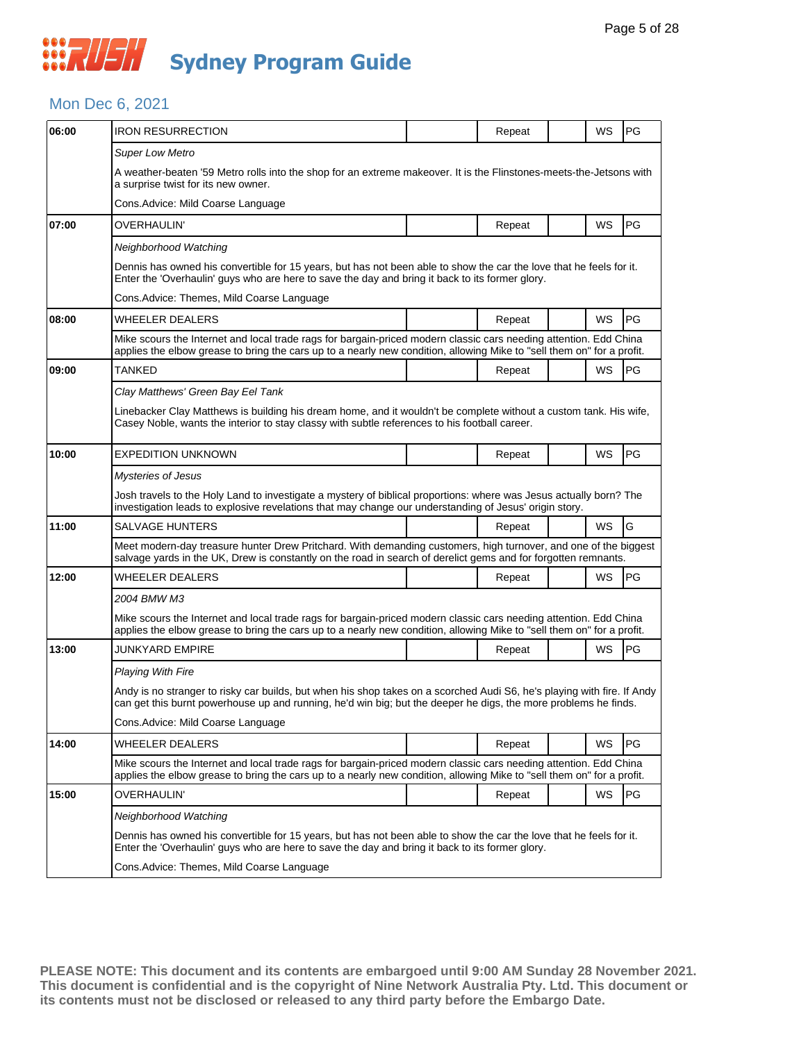## *CONSTRUSH* **Sydney Program Guide**

## Mon Dec 6, 2021

| 06:00 | <b>IRON RESURRECTION</b>                                                                                                                                                                                                                    |  | Repeat |  | WS        | <b>PG</b> |  |  |  |
|-------|---------------------------------------------------------------------------------------------------------------------------------------------------------------------------------------------------------------------------------------------|--|--------|--|-----------|-----------|--|--|--|
|       | <b>Super Low Metro</b>                                                                                                                                                                                                                      |  |        |  |           |           |  |  |  |
|       | A weather-beaten '59 Metro rolls into the shop for an extreme makeover. It is the Flinstones-meets-the-Jetsons with<br>a surprise twist for its new owner.                                                                                  |  |        |  |           |           |  |  |  |
|       | Cons.Advice: Mild Coarse Language                                                                                                                                                                                                           |  |        |  |           |           |  |  |  |
| 07:00 | OVERHAULIN'                                                                                                                                                                                                                                 |  | Repeat |  | WS        | PG        |  |  |  |
|       | Neighborhood Watching                                                                                                                                                                                                                       |  |        |  |           |           |  |  |  |
|       | Dennis has owned his convertible for 15 years, but has not been able to show the car the love that he feels for it.<br>Enter the 'Overhaulin' guys who are here to save the day and bring it back to its former glory.                      |  |        |  |           |           |  |  |  |
|       | Cons.Advice: Themes, Mild Coarse Language                                                                                                                                                                                                   |  |        |  |           |           |  |  |  |
| 08:00 | WHEELER DEALERS                                                                                                                                                                                                                             |  | Repeat |  | WS        | PG        |  |  |  |
|       | Mike scours the Internet and local trade rags for bargain-priced modern classic cars needing attention. Edd China<br>applies the elbow grease to bring the cars up to a nearly new condition, allowing Mike to "sell them on" for a profit. |  |        |  |           |           |  |  |  |
| 09:00 | TANKED                                                                                                                                                                                                                                      |  | Repeat |  | <b>WS</b> | l PG      |  |  |  |
|       | Clay Matthews' Green Bay Eel Tank                                                                                                                                                                                                           |  |        |  |           |           |  |  |  |
|       | Linebacker Clay Matthews is building his dream home, and it wouldn't be complete without a custom tank. His wife,<br>Casey Noble, wants the interior to stay classy with subtle references to his football career.                          |  |        |  |           |           |  |  |  |
| 10:00 | <b>EXPEDITION UNKNOWN</b>                                                                                                                                                                                                                   |  | Repeat |  | WS        | PG        |  |  |  |
|       | Mysteries of Jesus                                                                                                                                                                                                                          |  |        |  |           |           |  |  |  |
|       | Josh travels to the Holy Land to investigate a mystery of biblical proportions: where was Jesus actually born? The<br>investigation leads to explosive revelations that may change our understanding of Jesus' origin story.                |  |        |  |           |           |  |  |  |
| 11:00 | SALVAGE HUNTERS                                                                                                                                                                                                                             |  | Repeat |  | WS        | G         |  |  |  |
|       | Meet modern-day treasure hunter Drew Pritchard. With demanding customers, high turnover, and one of the biggest<br>salvage yards in the UK, Drew is constantly on the road in search of derelict gems and for forgotten remnants.           |  |        |  |           |           |  |  |  |
| 12:00 | WHEELER DEALERS                                                                                                                                                                                                                             |  | Repeat |  | WS        | <b>PG</b> |  |  |  |
|       | 2004 BMW M3                                                                                                                                                                                                                                 |  |        |  |           |           |  |  |  |
|       | Mike scours the Internet and local trade rags for bargain-priced modern classic cars needing attention. Edd China<br>applies the elbow grease to bring the cars up to a nearly new condition, allowing Mike to "sell them on" for a profit. |  |        |  |           |           |  |  |  |
| 13:00 | JUNKYARD EMPIRE                                                                                                                                                                                                                             |  | Repeat |  | <b>WS</b> | <b>PG</b> |  |  |  |
|       | <b>Playing With Fire</b>                                                                                                                                                                                                                    |  |        |  |           |           |  |  |  |
|       | Andy is no stranger to risky car builds, but when his shop takes on a scorched Audi S6, he's playing with fire. If Andy<br>can get this burnt powerhouse up and running, he'd win big; but the deeper he digs, the more problems he finds.  |  |        |  |           |           |  |  |  |
|       | Cons. Advice: Mild Coarse Language                                                                                                                                                                                                          |  |        |  |           |           |  |  |  |
| 14:00 | WHEELER DEALERS                                                                                                                                                                                                                             |  | Repeat |  | WS        | <b>PG</b> |  |  |  |
|       | Mike scours the Internet and local trade rags for bargain-priced modern classic cars needing attention. Edd China<br>applies the elbow grease to bring the cars up to a nearly new condition, allowing Mike to "sell them on" for a profit. |  |        |  |           |           |  |  |  |
| 15:00 | OVERHAULIN'                                                                                                                                                                                                                                 |  | Repeat |  | WS        | <b>PG</b> |  |  |  |
|       | Neighborhood Watching                                                                                                                                                                                                                       |  |        |  |           |           |  |  |  |
|       | Dennis has owned his convertible for 15 years, but has not been able to show the car the love that he feels for it.<br>Enter the 'Overhaulin' guys who are here to save the day and bring it back to its former glory.                      |  |        |  |           |           |  |  |  |
|       | Cons.Advice: Themes, Mild Coarse Language                                                                                                                                                                                                   |  |        |  |           |           |  |  |  |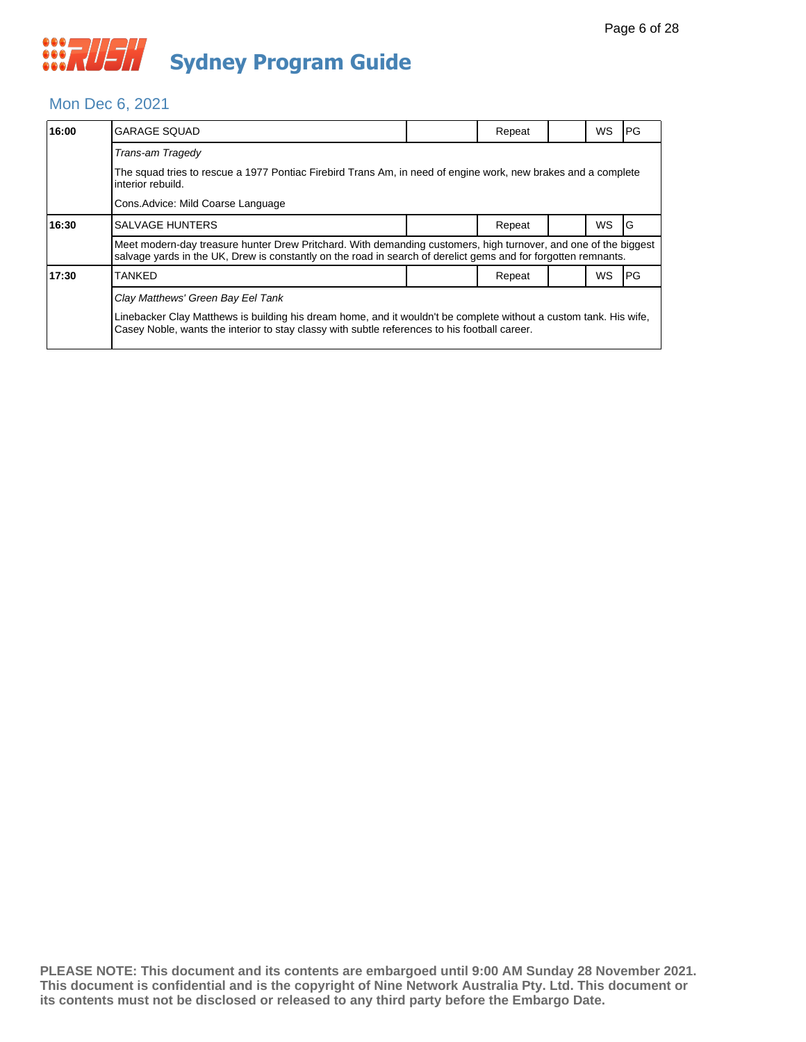#### Mon Dec 6, 2021

| 16:00 | <b>GARAGE SQUAD</b>                                                                                                                                                                                                               |  | Repeat |  | <b>WS</b> | PG |  |  |  |
|-------|-----------------------------------------------------------------------------------------------------------------------------------------------------------------------------------------------------------------------------------|--|--------|--|-----------|----|--|--|--|
|       | Trans-am Tragedy                                                                                                                                                                                                                  |  |        |  |           |    |  |  |  |
|       | The squad tries to rescue a 1977 Pontiac Firebird Trans Am, in need of engine work, new brakes and a complete<br>interior rebuild.                                                                                                |  |        |  |           |    |  |  |  |
|       |                                                                                                                                                                                                                                   |  |        |  |           |    |  |  |  |
| 16:30 | <b>SALVAGE HUNTERS</b>                                                                                                                                                                                                            |  | Repeat |  | <b>WS</b> | G  |  |  |  |
|       | Meet modern-day treasure hunter Drew Pritchard. With demanding customers, high turnover, and one of the biggest<br>salvage yards in the UK, Drew is constantly on the road in search of derelict gems and for forgotten remnants. |  |        |  |           |    |  |  |  |
| 17:30 | TANKED                                                                                                                                                                                                                            |  | Repeat |  | WS        | PG |  |  |  |
|       | Clay Matthews' Green Bay Eel Tank                                                                                                                                                                                                 |  |        |  |           |    |  |  |  |
|       | Linebacker Clay Matthews is building his dream home, and it wouldn't be complete without a custom tank. His wife,<br>Casey Noble, wants the interior to stay classy with subtle references to his football career.                |  |        |  |           |    |  |  |  |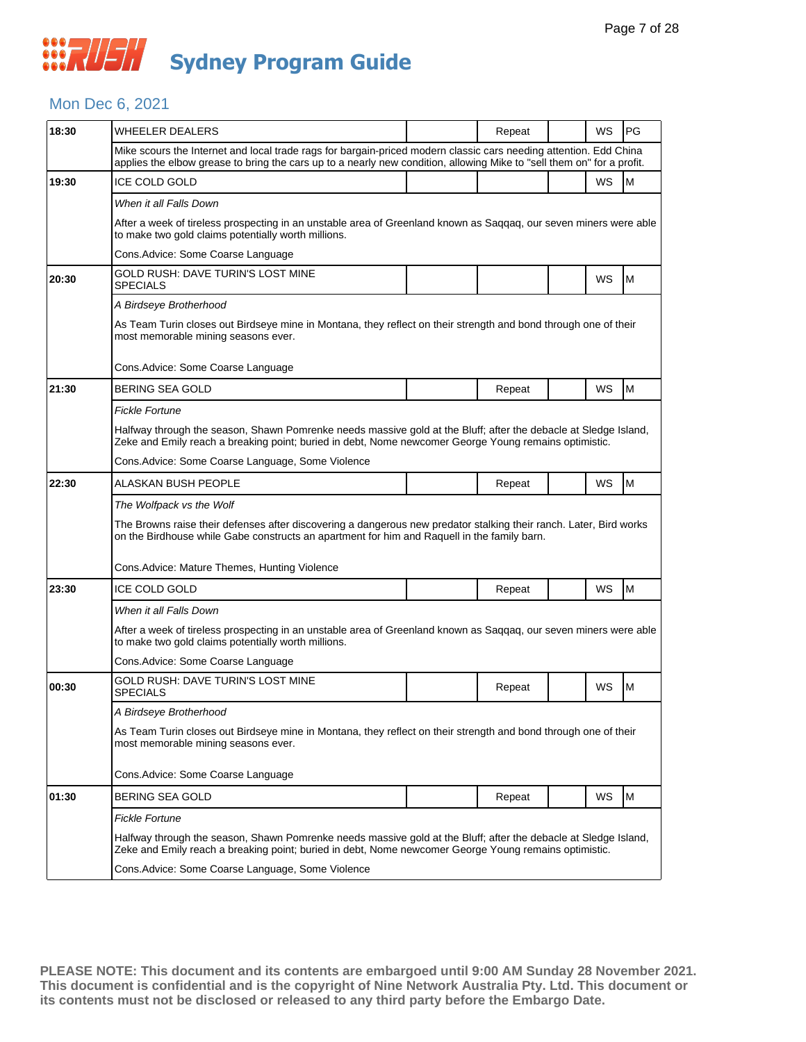#### Mon Dec 6, 2021

| 18:30 | <b>WHEELER DEALERS</b>                                                                                                                                                                                                                      |  | Repeat |  | WS | PG |  |  |  |
|-------|---------------------------------------------------------------------------------------------------------------------------------------------------------------------------------------------------------------------------------------------|--|--------|--|----|----|--|--|--|
|       | Mike scours the Internet and local trade rags for bargain-priced modern classic cars needing attention. Edd China<br>applies the elbow grease to bring the cars up to a nearly new condition, allowing Mike to "sell them on" for a profit. |  |        |  |    |    |  |  |  |
| 19:30 | <b>ICE COLD GOLD</b>                                                                                                                                                                                                                        |  |        |  | WS | M  |  |  |  |
|       | When it all Falls Down                                                                                                                                                                                                                      |  |        |  |    |    |  |  |  |
|       | After a week of tireless prospecting in an unstable area of Greenland known as Saqqaq, our seven miners were able<br>to make two gold claims potentially worth millions.                                                                    |  |        |  |    |    |  |  |  |
|       | Cons. Advice: Some Coarse Language                                                                                                                                                                                                          |  |        |  |    |    |  |  |  |
| 20:30 | GOLD RUSH: DAVE TURIN'S LOST MINE<br><b>SPECIALS</b>                                                                                                                                                                                        |  |        |  | WS | М  |  |  |  |
|       | A Birdseye Brotherhood                                                                                                                                                                                                                      |  |        |  |    |    |  |  |  |
|       | As Team Turin closes out Birdseye mine in Montana, they reflect on their strength and bond through one of their<br>most memorable mining seasons ever.                                                                                      |  |        |  |    |    |  |  |  |
|       | Cons.Advice: Some Coarse Language                                                                                                                                                                                                           |  |        |  |    |    |  |  |  |
| 21:30 | BERING SEA GOLD                                                                                                                                                                                                                             |  | Repeat |  | WS | M  |  |  |  |
|       | <b>Fickle Fortune</b>                                                                                                                                                                                                                       |  |        |  |    |    |  |  |  |
|       | Halfway through the season, Shawn Pomrenke needs massive gold at the Bluff; after the debacle at Sledge Island,<br>Zeke and Emily reach a breaking point; buried in debt, Nome newcomer George Young remains optimistic.                    |  |        |  |    |    |  |  |  |
|       | Cons. Advice: Some Coarse Language, Some Violence                                                                                                                                                                                           |  |        |  |    |    |  |  |  |
| 22:30 | ALASKAN BUSH PEOPLE                                                                                                                                                                                                                         |  | Repeat |  | WS | M  |  |  |  |
|       | The Wolfpack vs the Wolf<br>The Browns raise their defenses after discovering a dangerous new predator stalking their ranch. Later, Bird works                                                                                              |  |        |  |    |    |  |  |  |
|       | on the Birdhouse while Gabe constructs an apartment for him and Raquell in the family barn.                                                                                                                                                 |  |        |  |    |    |  |  |  |
|       | Cons. Advice: Mature Themes, Hunting Violence                                                                                                                                                                                               |  |        |  |    |    |  |  |  |
| 23:30 | <b>ICE COLD GOLD</b>                                                                                                                                                                                                                        |  | Repeat |  | WS | M  |  |  |  |
|       | When it all Falls Down                                                                                                                                                                                                                      |  |        |  |    |    |  |  |  |
|       | After a week of tireless prospecting in an unstable area of Greenland known as Saggag, our seven miners were able<br>to make two gold claims potentially worth millions.                                                                    |  |        |  |    |    |  |  |  |
|       | Cons. Advice: Some Coarse Language                                                                                                                                                                                                          |  |        |  |    |    |  |  |  |
| 00:30 | GOLD RUSH: DAVE TURIN'S LOST MINE<br><b>SPECIALS</b>                                                                                                                                                                                        |  | Repeat |  | WS | M  |  |  |  |
|       | A Birdseye Brotherhood                                                                                                                                                                                                                      |  |        |  |    |    |  |  |  |
|       | As Team Turin closes out Birdseye mine in Montana, they reflect on their strength and bond through one of their<br>most memorable mining seasons ever.                                                                                      |  |        |  |    |    |  |  |  |
|       | Cons.Advice: Some Coarse Language                                                                                                                                                                                                           |  |        |  |    |    |  |  |  |
| 01:30 | <b>BERING SEA GOLD</b>                                                                                                                                                                                                                      |  | Repeat |  | WS | M  |  |  |  |
|       | <b>Fickle Fortune</b>                                                                                                                                                                                                                       |  |        |  |    |    |  |  |  |
|       | Halfway through the season, Shawn Pomrenke needs massive gold at the Bluff; after the debacle at Sledge Island,<br>Zeke and Emily reach a breaking point; buried in debt, Nome newcomer George Young remains optimistic.                    |  |        |  |    |    |  |  |  |
|       | Cons. Advice: Some Coarse Language, Some Violence                                                                                                                                                                                           |  |        |  |    |    |  |  |  |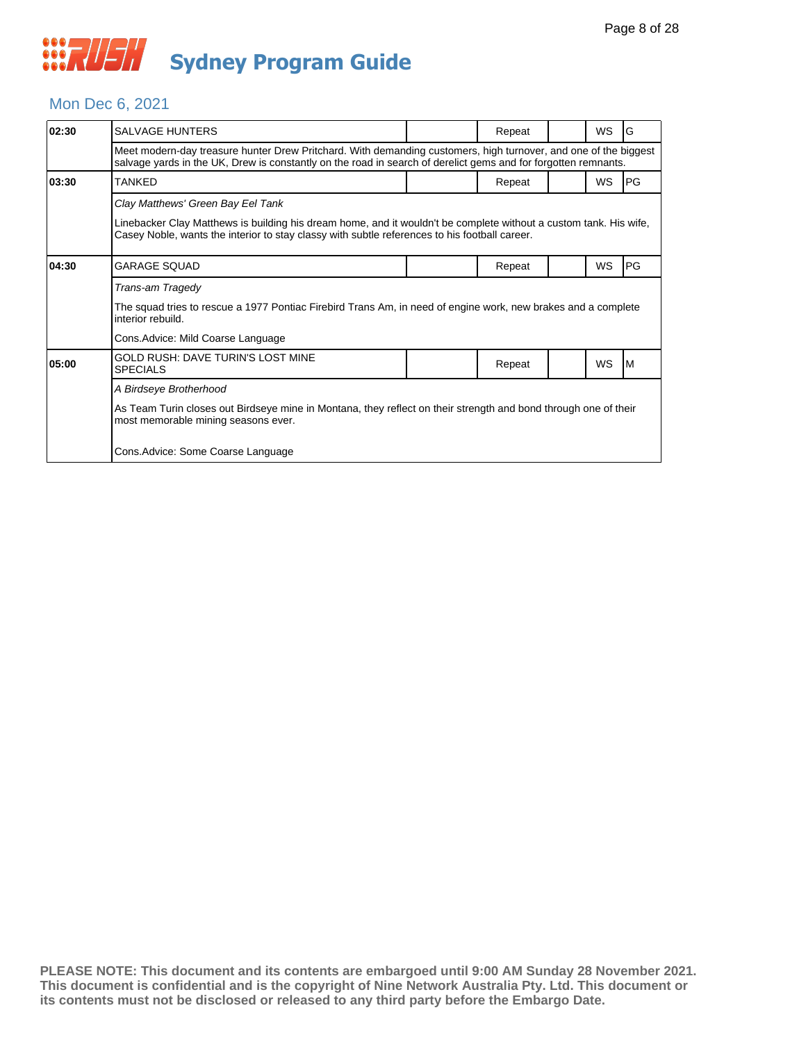#### Mon Dec 6, 2021

| 02:30 | <b>SALVAGE HUNTERS</b>                                                                                                                                                                                                                                  |  | Repeat |  | <b>WS</b> | lG   |  |  |  |
|-------|---------------------------------------------------------------------------------------------------------------------------------------------------------------------------------------------------------------------------------------------------------|--|--------|--|-----------|------|--|--|--|
|       | Meet modern-day treasure hunter Drew Pritchard. With demanding customers, high turnover, and one of the biggest<br>salvage yards in the UK, Drew is constantly on the road in search of derelict gems and for forgotten remnants.                       |  |        |  |           |      |  |  |  |
| 03:30 | TANKED                                                                                                                                                                                                                                                  |  | Repeat |  | WS        | IPG. |  |  |  |
|       | Clay Matthews' Green Bay Eel Tank<br>Linebacker Clay Matthews is building his dream home, and it wouldn't be complete without a custom tank. His wife,<br>Casey Noble, wants the interior to stay classy with subtle references to his football career. |  |        |  |           |      |  |  |  |
| 04:30 | GARAGE SQUAD                                                                                                                                                                                                                                            |  | Repeat |  | WS        | PG   |  |  |  |
|       | Trans-am Tragedy                                                                                                                                                                                                                                        |  |        |  |           |      |  |  |  |
|       | The squad tries to rescue a 1977 Pontiac Firebird Trans Am, in need of engine work, new brakes and a complete<br>interior rebuild.                                                                                                                      |  |        |  |           |      |  |  |  |
|       | Cons. Advice: Mild Coarse Language                                                                                                                                                                                                                      |  |        |  |           |      |  |  |  |
| 05:00 | GOLD RUSH: DAVE TURIN'S LOST MINE<br><b>SPECIALS</b>                                                                                                                                                                                                    |  | Repeat |  | <b>WS</b> | IM.  |  |  |  |
|       | A Birdseye Brotherhood                                                                                                                                                                                                                                  |  |        |  |           |      |  |  |  |
|       | As Team Turin closes out Birdseye mine in Montana, they reflect on their strength and bond through one of their<br>most memorable mining seasons ever.                                                                                                  |  |        |  |           |      |  |  |  |
|       | Cons. Advice: Some Coarse Language                                                                                                                                                                                                                      |  |        |  |           |      |  |  |  |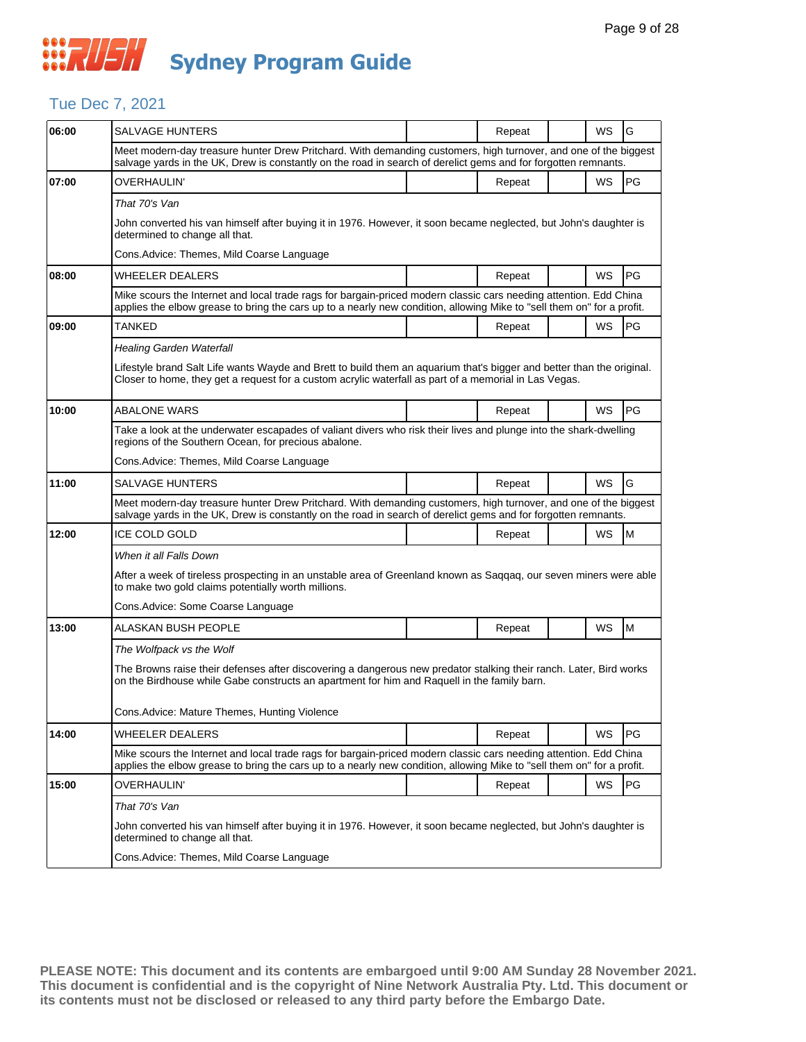## Tue Dec 7, 2021

| <b>SALVAGE HUNTERS</b>                                                                                                                                                                                                                      |  | Repeat |  | WS                                                                                                    | G                                                                                                                                                                                                                                                                                                                                                                                                                                                                                                                                                                                                                                                                                                                              |  |  |
|---------------------------------------------------------------------------------------------------------------------------------------------------------------------------------------------------------------------------------------------|--|--------|--|-------------------------------------------------------------------------------------------------------|--------------------------------------------------------------------------------------------------------------------------------------------------------------------------------------------------------------------------------------------------------------------------------------------------------------------------------------------------------------------------------------------------------------------------------------------------------------------------------------------------------------------------------------------------------------------------------------------------------------------------------------------------------------------------------------------------------------------------------|--|--|
|                                                                                                                                                                                                                                             |  |        |  |                                                                                                       |                                                                                                                                                                                                                                                                                                                                                                                                                                                                                                                                                                                                                                                                                                                                |  |  |
| OVERHAULIN'                                                                                                                                                                                                                                 |  | Repeat |  | WS                                                                                                    | PG                                                                                                                                                                                                                                                                                                                                                                                                                                                                                                                                                                                                                                                                                                                             |  |  |
| That 70's Van                                                                                                                                                                                                                               |  |        |  |                                                                                                       |                                                                                                                                                                                                                                                                                                                                                                                                                                                                                                                                                                                                                                                                                                                                |  |  |
| determined to change all that.                                                                                                                                                                                                              |  |        |  |                                                                                                       |                                                                                                                                                                                                                                                                                                                                                                                                                                                                                                                                                                                                                                                                                                                                |  |  |
| Cons.Advice: Themes, Mild Coarse Language                                                                                                                                                                                                   |  |        |  |                                                                                                       |                                                                                                                                                                                                                                                                                                                                                                                                                                                                                                                                                                                                                                                                                                                                |  |  |
| <b>WHEELER DEALERS</b>                                                                                                                                                                                                                      |  | Repeat |  | WS                                                                                                    | <b>PG</b>                                                                                                                                                                                                                                                                                                                                                                                                                                                                                                                                                                                                                                                                                                                      |  |  |
|                                                                                                                                                                                                                                             |  |        |  |                                                                                                       |                                                                                                                                                                                                                                                                                                                                                                                                                                                                                                                                                                                                                                                                                                                                |  |  |
| TANKED                                                                                                                                                                                                                                      |  | Repeat |  | WS                                                                                                    | PG                                                                                                                                                                                                                                                                                                                                                                                                                                                                                                                                                                                                                                                                                                                             |  |  |
| <b>Healing Garden Waterfall</b>                                                                                                                                                                                                             |  |        |  |                                                                                                       |                                                                                                                                                                                                                                                                                                                                                                                                                                                                                                                                                                                                                                                                                                                                |  |  |
|                                                                                                                                                                                                                                             |  |        |  |                                                                                                       |                                                                                                                                                                                                                                                                                                                                                                                                                                                                                                                                                                                                                                                                                                                                |  |  |
| ABALONE WARS                                                                                                                                                                                                                                |  | Repeat |  | WS                                                                                                    | PG                                                                                                                                                                                                                                                                                                                                                                                                                                                                                                                                                                                                                                                                                                                             |  |  |
| Take a look at the underwater escapades of valiant divers who risk their lives and plunge into the shark-dwelling<br>regions of the Southern Ocean, for precious abalone.                                                                   |  |        |  |                                                                                                       |                                                                                                                                                                                                                                                                                                                                                                                                                                                                                                                                                                                                                                                                                                                                |  |  |
| Cons.Advice: Themes, Mild Coarse Language                                                                                                                                                                                                   |  |        |  |                                                                                                       |                                                                                                                                                                                                                                                                                                                                                                                                                                                                                                                                                                                                                                                                                                                                |  |  |
| SALVAGE HUNTERS                                                                                                                                                                                                                             |  | Repeat |  | WS                                                                                                    | G                                                                                                                                                                                                                                                                                                                                                                                                                                                                                                                                                                                                                                                                                                                              |  |  |
| Meet modern-day treasure hunter Drew Pritchard. With demanding customers, high turnover, and one of the biggest<br>salvage yards in the UK, Drew is constantly on the road in search of derelict gems and for forgotten remnants.           |  |        |  |                                                                                                       |                                                                                                                                                                                                                                                                                                                                                                                                                                                                                                                                                                                                                                                                                                                                |  |  |
| <b>ICE COLD GOLD</b>                                                                                                                                                                                                                        |  | Repeat |  | WS                                                                                                    | M                                                                                                                                                                                                                                                                                                                                                                                                                                                                                                                                                                                                                                                                                                                              |  |  |
| When it all Falls Down                                                                                                                                                                                                                      |  |        |  |                                                                                                       |                                                                                                                                                                                                                                                                                                                                                                                                                                                                                                                                                                                                                                                                                                                                |  |  |
| After a week of tireless prospecting in an unstable area of Greenland known as Saqqaq, our seven miners were able<br>to make two gold claims potentially worth millions.                                                                    |  |        |  |                                                                                                       |                                                                                                                                                                                                                                                                                                                                                                                                                                                                                                                                                                                                                                                                                                                                |  |  |
| Cons. Advice: Some Coarse Language                                                                                                                                                                                                          |  |        |  |                                                                                                       |                                                                                                                                                                                                                                                                                                                                                                                                                                                                                                                                                                                                                                                                                                                                |  |  |
| ALASKAN BUSH PEOPLE                                                                                                                                                                                                                         |  | Repeat |  | WS                                                                                                    | M                                                                                                                                                                                                                                                                                                                                                                                                                                                                                                                                                                                                                                                                                                                              |  |  |
| The Wolfpack vs the Wolf                                                                                                                                                                                                                    |  |        |  |                                                                                                       |                                                                                                                                                                                                                                                                                                                                                                                                                                                                                                                                                                                                                                                                                                                                |  |  |
| The Browns raise their defenses after discovering a dangerous new predator stalking their ranch. Later, Bird works<br>on the Birdhouse while Gabe constructs an apartment for him and Raquell in the family barn.                           |  |        |  |                                                                                                       |                                                                                                                                                                                                                                                                                                                                                                                                                                                                                                                                                                                                                                                                                                                                |  |  |
| Cons.Advice: Mature Themes, Hunting Violence                                                                                                                                                                                                |  |        |  |                                                                                                       |                                                                                                                                                                                                                                                                                                                                                                                                                                                                                                                                                                                                                                                                                                                                |  |  |
| <b>WHEELER DEALERS</b>                                                                                                                                                                                                                      |  | Repeat |  | WS                                                                                                    | PG                                                                                                                                                                                                                                                                                                                                                                                                                                                                                                                                                                                                                                                                                                                             |  |  |
| Mike scours the Internet and local trade rags for bargain-priced modern classic cars needing attention. Edd China<br>applies the elbow grease to bring the cars up to a nearly new condition, allowing Mike to "sell them on" for a profit. |  |        |  |                                                                                                       |                                                                                                                                                                                                                                                                                                                                                                                                                                                                                                                                                                                                                                                                                                                                |  |  |
| <b>OVERHAULIN'</b>                                                                                                                                                                                                                          |  | Repeat |  | WS                                                                                                    | PG                                                                                                                                                                                                                                                                                                                                                                                                                                                                                                                                                                                                                                                                                                                             |  |  |
|                                                                                                                                                                                                                                             |  |        |  |                                                                                                       |                                                                                                                                                                                                                                                                                                                                                                                                                                                                                                                                                                                                                                                                                                                                |  |  |
| That 70's Van                                                                                                                                                                                                                               |  |        |  |                                                                                                       |                                                                                                                                                                                                                                                                                                                                                                                                                                                                                                                                                                                                                                                                                                                                |  |  |
| John converted his van himself after buying it in 1976. However, it soon became neglected, but John's daughter is<br>determined to change all that.                                                                                         |  |        |  |                                                                                                       |                                                                                                                                                                                                                                                                                                                                                                                                                                                                                                                                                                                                                                                                                                                                |  |  |
|                                                                                                                                                                                                                                             |  |        |  | Closer to home, they get a request for a custom acrylic waterfall as part of a memorial in Las Vegas. | Meet modern-day treasure hunter Drew Pritchard. With demanding customers, high turnover, and one of the biggest<br>salvage yards in the UK, Drew is constantly on the road in search of derelict gems and for forgotten remnants.<br>John converted his van himself after buying it in 1976. However, it soon became neglected, but John's daughter is<br>Mike scours the Internet and local trade rags for bargain-priced modern classic cars needing attention. Edd China<br>applies the elbow grease to bring the cars up to a nearly new condition, allowing Mike to "sell them on" for a profit.<br>Lifestyle brand Salt Life wants Wayde and Brett to build them an aquarium that's bigger and better than the original. |  |  |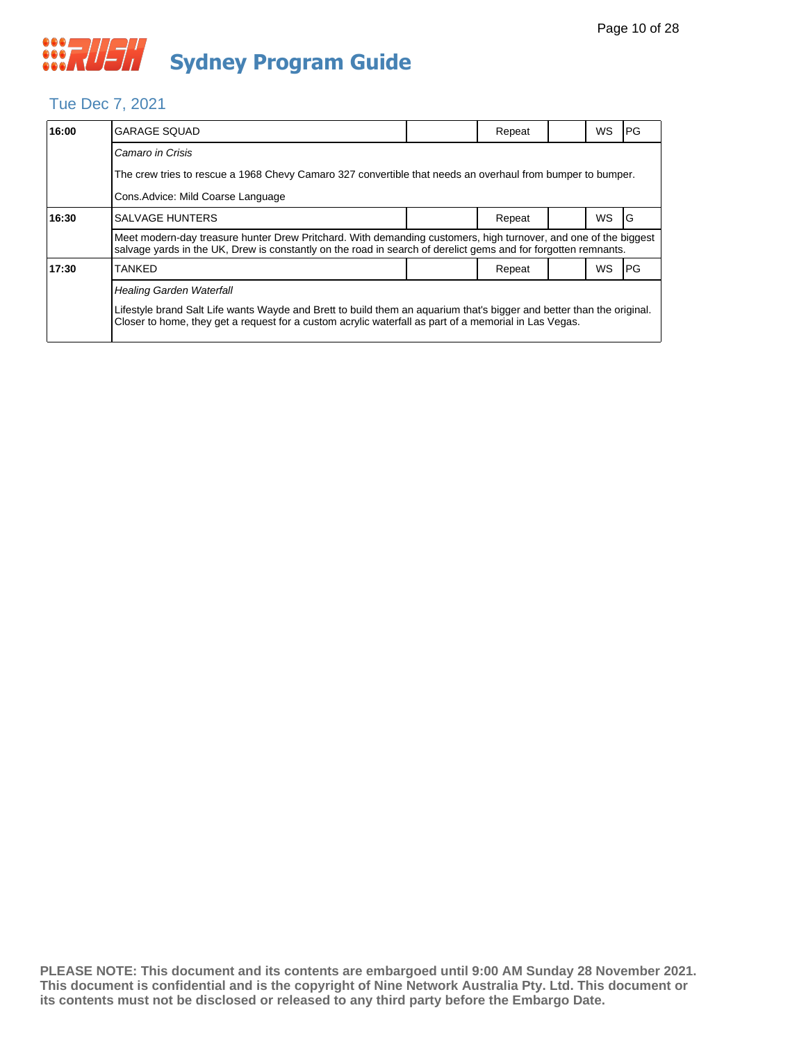### Tue Dec 7, 2021

| 16:00 | <b>GARAGE SQUAD</b>                                                                                                                                                                                                               |  | Repeat |  | <b>WS</b> | IPG.       |  |  |
|-------|-----------------------------------------------------------------------------------------------------------------------------------------------------------------------------------------------------------------------------------|--|--------|--|-----------|------------|--|--|
|       | Camaro in Crisis                                                                                                                                                                                                                  |  |        |  |           |            |  |  |
|       | The crew tries to rescue a 1968 Chevy Camaro 327 convertible that needs an overhaul from bumper to bumper.                                                                                                                        |  |        |  |           |            |  |  |
|       | Cons. Advice: Mild Coarse Language                                                                                                                                                                                                |  |        |  |           |            |  |  |
| 16:30 | <b>SALVAGE HUNTERS</b>                                                                                                                                                                                                            |  | Repeat |  | <b>WS</b> | IG         |  |  |
|       | Meet modern-day treasure hunter Drew Pritchard. With demanding customers, high turnover, and one of the biggest<br>salvage yards in the UK, Drew is constantly on the road in search of derelict gems and for forgotten remnants. |  |        |  |           |            |  |  |
| 17:30 | <b>TANKED</b>                                                                                                                                                                                                                     |  | Repeat |  | <b>WS</b> | <b>IPG</b> |  |  |
|       | <b>Healing Garden Waterfall</b>                                                                                                                                                                                                   |  |        |  |           |            |  |  |
|       | Lifestyle brand Salt Life wants Wayde and Brett to build them an aquarium that's bigger and better than the original.<br>Closer to home, they get a request for a custom acrylic waterfall as part of a memorial in Las Vegas.    |  |        |  |           |            |  |  |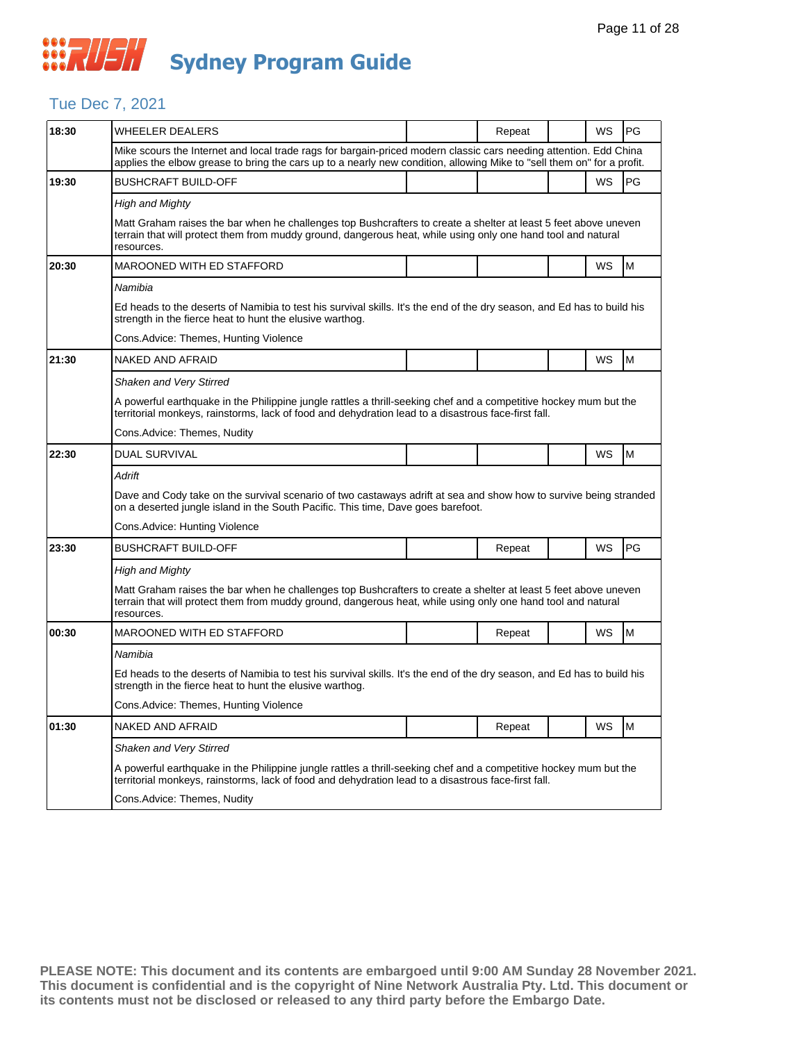### Tue Dec 7, 2021

| 18:30 | <b>WHEELER DEALERS</b>                                                                                                                                                                                                                        |  | Repeat |  | WS        | PG |  |  |  |
|-------|-----------------------------------------------------------------------------------------------------------------------------------------------------------------------------------------------------------------------------------------------|--|--------|--|-----------|----|--|--|--|
|       | Mike scours the Internet and local trade rags for bargain-priced modern classic cars needing attention. Edd China<br>applies the elbow grease to bring the cars up to a nearly new condition, allowing Mike to "sell them on" for a profit.   |  |        |  |           |    |  |  |  |
| 19:30 | <b>BUSHCRAFT BUILD-OFF</b>                                                                                                                                                                                                                    |  |        |  | WS        | PG |  |  |  |
|       | <b>High and Mighty</b>                                                                                                                                                                                                                        |  |        |  |           |    |  |  |  |
|       | Matt Graham raises the bar when he challenges top Bushcrafters to create a shelter at least 5 feet above uneven<br>terrain that will protect them from muddy ground, dangerous heat, while using only one hand tool and natural<br>resources. |  |        |  |           |    |  |  |  |
| 20:30 | MAROONED WITH ED STAFFORD                                                                                                                                                                                                                     |  |        |  | WS        | M  |  |  |  |
|       | Namibia                                                                                                                                                                                                                                       |  |        |  |           |    |  |  |  |
|       | Ed heads to the deserts of Namibia to test his survival skills. It's the end of the dry season, and Ed has to build his<br>strength in the fierce heat to hunt the elusive warthog.                                                           |  |        |  |           |    |  |  |  |
|       | Cons. Advice: Themes, Hunting Violence                                                                                                                                                                                                        |  |        |  |           |    |  |  |  |
| 21:30 | NAKED AND AFRAID                                                                                                                                                                                                                              |  |        |  | WS        | M  |  |  |  |
|       | <b>Shaken and Very Stirred</b>                                                                                                                                                                                                                |  |        |  |           |    |  |  |  |
|       | A powerful earthquake in the Philippine jungle rattles a thrill-seeking chef and a competitive hockey mum but the<br>territorial monkeys, rainstorms, lack of food and dehydration lead to a disastrous face-first fall.                      |  |        |  |           |    |  |  |  |
|       | Cons. Advice: Themes, Nudity                                                                                                                                                                                                                  |  |        |  |           |    |  |  |  |
| 22:30 | <b>DUAL SURVIVAL</b>                                                                                                                                                                                                                          |  |        |  | WS        | M  |  |  |  |
|       | Adrift                                                                                                                                                                                                                                        |  |        |  |           |    |  |  |  |
|       | Dave and Cody take on the survival scenario of two castaways adrift at sea and show how to survive being stranded<br>on a deserted jungle island in the South Pacific. This time, Dave goes barefoot.                                         |  |        |  |           |    |  |  |  |
|       | Cons. Advice: Hunting Violence                                                                                                                                                                                                                |  |        |  |           |    |  |  |  |
| 23:30 |                                                                                                                                                                                                                                               |  |        |  |           |    |  |  |  |
|       | <b>BUSHCRAFT BUILD-OFF</b>                                                                                                                                                                                                                    |  | Repeat |  | WS        | PG |  |  |  |
|       | <b>High and Mighty</b>                                                                                                                                                                                                                        |  |        |  |           |    |  |  |  |
|       | Matt Graham raises the bar when he challenges top Bushcrafters to create a shelter at least 5 feet above uneven<br>terrain that will protect them from muddy ground, dangerous heat, while using only one hand tool and natural<br>resources. |  |        |  |           |    |  |  |  |
| 00:30 | MAROONED WITH ED STAFFORD                                                                                                                                                                                                                     |  | Repeat |  | <b>WS</b> | M  |  |  |  |
|       | Namibia                                                                                                                                                                                                                                       |  |        |  |           |    |  |  |  |
|       | Ed heads to the deserts of Namibia to test his survival skills. It's the end of the dry season, and Ed has to build his<br>strength in the fierce heat to hunt the elusive warthog.                                                           |  |        |  |           |    |  |  |  |
|       | Cons.Advice: Themes, Hunting Violence                                                                                                                                                                                                         |  |        |  |           |    |  |  |  |
| 01:30 | NAKED AND AFRAID                                                                                                                                                                                                                              |  | Repeat |  | WS        | M  |  |  |  |
|       | Shaken and Very Stirred                                                                                                                                                                                                                       |  |        |  |           |    |  |  |  |
|       | A powerful earthquake in the Philippine jungle rattles a thrill-seeking chef and a competitive hockey mum but the<br>territorial monkeys, rainstorms, lack of food and dehydration lead to a disastrous face-first fall.                      |  |        |  |           |    |  |  |  |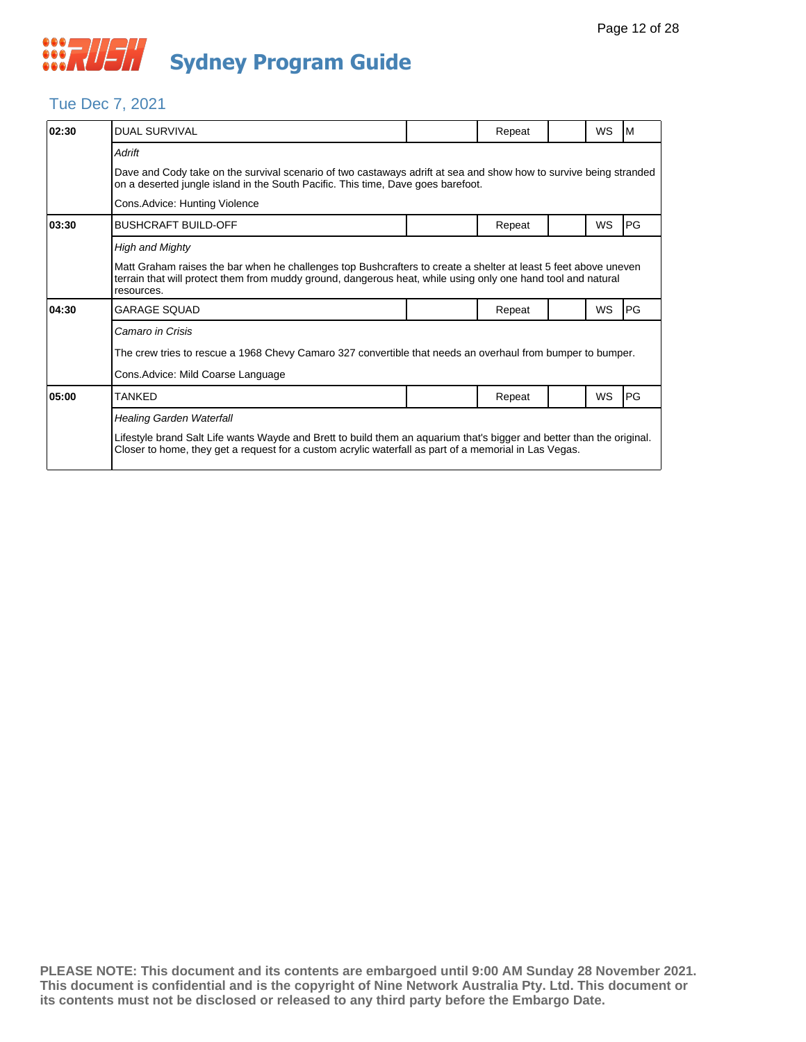#### Tue Dec 7, 2021

| 02:30 | <b>DUAL SURVIVAL</b>                                                                                                                                                                                                                          |  | Repeat |  | WS        | M  |  |  |
|-------|-----------------------------------------------------------------------------------------------------------------------------------------------------------------------------------------------------------------------------------------------|--|--------|--|-----------|----|--|--|
|       | <b>Adrift</b>                                                                                                                                                                                                                                 |  |        |  |           |    |  |  |
|       | Dave and Cody take on the survival scenario of two castaways adrift at sea and show how to survive being stranded<br>on a deserted jungle island in the South Pacific. This time, Dave goes barefoot.                                         |  |        |  |           |    |  |  |
|       | Cons. Advice: Hunting Violence                                                                                                                                                                                                                |  |        |  |           |    |  |  |
| 03:30 | <b>BUSHCRAFT BUILD-OFF</b>                                                                                                                                                                                                                    |  | Repeat |  | WS        | PG |  |  |
|       | <b>High and Mighty</b>                                                                                                                                                                                                                        |  |        |  |           |    |  |  |
|       | Matt Graham raises the bar when he challenges top Bushcrafters to create a shelter at least 5 feet above uneven<br>terrain that will protect them from muddy ground, dangerous heat, while using only one hand tool and natural<br>resources. |  |        |  |           |    |  |  |
| 04:30 | <b>GARAGE SOUAD</b>                                                                                                                                                                                                                           |  | Repeat |  | WS        | PG |  |  |
|       | Camaro in Crisis                                                                                                                                                                                                                              |  |        |  |           |    |  |  |
|       | The crew tries to rescue a 1968 Chevy Camaro 327 convertible that needs an overhaul from bumper to bumper.                                                                                                                                    |  |        |  |           |    |  |  |
|       | Cons. Advice: Mild Coarse Language                                                                                                                                                                                                            |  |        |  |           |    |  |  |
| 05:00 | <b>TANKED</b>                                                                                                                                                                                                                                 |  | Repeat |  | <b>WS</b> | PG |  |  |
|       | <b>Healing Garden Waterfall</b>                                                                                                                                                                                                               |  |        |  |           |    |  |  |
|       | Lifestyle brand Salt Life wants Wayde and Brett to build them an aquarium that's bigger and better than the original.<br>Closer to home, they get a request for a custom acrylic waterfall as part of a memorial in Las Vegas.                |  |        |  |           |    |  |  |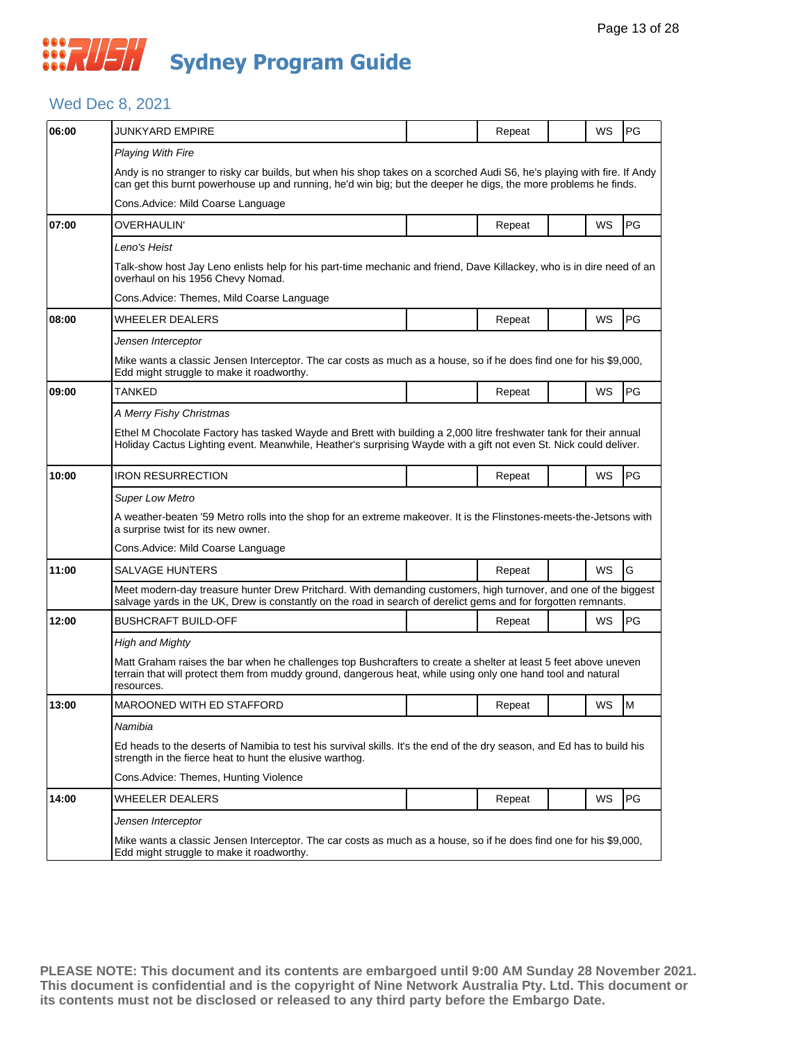## *CONSTRUSH* **Sydney Program Guide**

### Wed Dec 8, 2021

| 06:00 | <b>JUNKYARD EMPIRE</b>                                                                                                                                                                                                                        |                                                                                                                       | Repeat | WS        | <b>PG</b> |  |  |  |  |  |
|-------|-----------------------------------------------------------------------------------------------------------------------------------------------------------------------------------------------------------------------------------------------|-----------------------------------------------------------------------------------------------------------------------|--------|-----------|-----------|--|--|--|--|--|
|       | <b>Playing With Fire</b>                                                                                                                                                                                                                      |                                                                                                                       |        |           |           |  |  |  |  |  |
|       | Andy is no stranger to risky car builds, but when his shop takes on a scorched Audi S6, he's playing with fire. If Andy<br>can get this burnt powerhouse up and running, he'd win big; but the deeper he digs, the more problems he finds.    |                                                                                                                       |        |           |           |  |  |  |  |  |
|       | Cons. Advice: Mild Coarse Language                                                                                                                                                                                                            |                                                                                                                       |        |           |           |  |  |  |  |  |
| 07:00 | OVERHAULIN'                                                                                                                                                                                                                                   |                                                                                                                       | Repeat | WS        | PG        |  |  |  |  |  |
|       | Leno's Heist                                                                                                                                                                                                                                  |                                                                                                                       |        |           |           |  |  |  |  |  |
|       | overhaul on his 1956 Chevy Nomad.                                                                                                                                                                                                             | Talk-show host Jay Leno enlists help for his part-time mechanic and friend, Dave Killackey, who is in dire need of an |        |           |           |  |  |  |  |  |
|       | Cons. Advice: Themes, Mild Coarse Language                                                                                                                                                                                                    |                                                                                                                       |        |           |           |  |  |  |  |  |
| 08:00 | WHEELER DEALERS                                                                                                                                                                                                                               |                                                                                                                       | Repeat | <b>WS</b> | PG        |  |  |  |  |  |
|       | Jensen Interceptor                                                                                                                                                                                                                            |                                                                                                                       |        |           |           |  |  |  |  |  |
|       | Mike wants a classic Jensen Interceptor. The car costs as much as a house, so if he does find one for his \$9,000,<br>Edd might struggle to make it roadworthy.                                                                               |                                                                                                                       |        |           |           |  |  |  |  |  |
| 09:00 | <b>TANKED</b>                                                                                                                                                                                                                                 |                                                                                                                       | Repeat | WS        | PG        |  |  |  |  |  |
|       | A Merry Fishy Christmas                                                                                                                                                                                                                       |                                                                                                                       |        |           |           |  |  |  |  |  |
|       | Ethel M Chocolate Factory has tasked Wayde and Brett with building a 2,000 litre freshwater tank for their annual<br>Holiday Cactus Lighting event. Meanwhile, Heather's surprising Wayde with a gift not even St. Nick could deliver.        |                                                                                                                       |        |           |           |  |  |  |  |  |
| 10:00 | <b>IRON RESURRECTION</b>                                                                                                                                                                                                                      |                                                                                                                       | Repeat | WS        | PG        |  |  |  |  |  |
|       | Super Low Metro                                                                                                                                                                                                                               |                                                                                                                       |        |           |           |  |  |  |  |  |
|       | A weather-beaten '59 Metro rolls into the shop for an extreme makeover. It is the Flinstones-meets-the-Jetsons with<br>a surprise twist for its new owner.                                                                                    |                                                                                                                       |        |           |           |  |  |  |  |  |
|       | Cons. Advice: Mild Coarse Language                                                                                                                                                                                                            |                                                                                                                       |        |           |           |  |  |  |  |  |
| 11:00 | SALVAGE HUNTERS                                                                                                                                                                                                                               |                                                                                                                       | Repeat | <b>WS</b> | G         |  |  |  |  |  |
|       | Meet modern-day treasure hunter Drew Pritchard. With demanding customers, high turnover, and one of the biggest<br>salvage yards in the UK, Drew is constantly on the road in search of derelict gems and for forgotten remnants.             |                                                                                                                       |        |           |           |  |  |  |  |  |
| 12:00 | <b>BUSHCRAFT BUILD-OFF</b>                                                                                                                                                                                                                    |                                                                                                                       | Repeat | WS        | PG        |  |  |  |  |  |
|       | High and Mighty                                                                                                                                                                                                                               |                                                                                                                       |        |           |           |  |  |  |  |  |
|       | Matt Graham raises the bar when he challenges top Bushcrafters to create a shelter at least 5 feet above uneven<br>terrain that will protect them from muddy ground, dangerous heat, while using only one hand tool and natural<br>resources. |                                                                                                                       |        |           |           |  |  |  |  |  |
| 13:00 | <b>MAROONED WITH ED STAFFORD</b>                                                                                                                                                                                                              |                                                                                                                       | Repeat | WS        | <b>M</b>  |  |  |  |  |  |
|       | Namibia                                                                                                                                                                                                                                       |                                                                                                                       |        |           |           |  |  |  |  |  |
|       | Ed heads to the deserts of Namibia to test his survival skills. It's the end of the dry season, and Ed has to build his<br>strength in the fierce heat to hunt the elusive warthog.                                                           |                                                                                                                       |        |           |           |  |  |  |  |  |
|       | Cons.Advice: Themes, Hunting Violence                                                                                                                                                                                                         |                                                                                                                       |        |           |           |  |  |  |  |  |
| 14:00 | <b>WHEELER DEALERS</b>                                                                                                                                                                                                                        |                                                                                                                       | Repeat | WS        | PG        |  |  |  |  |  |
|       | Jensen Interceptor                                                                                                                                                                                                                            |                                                                                                                       |        |           |           |  |  |  |  |  |
|       | Mike wants a classic Jensen Interceptor. The car costs as much as a house, so if he does find one for his \$9,000,<br>Edd might struggle to make it roadworthy.                                                                               |                                                                                                                       |        |           |           |  |  |  |  |  |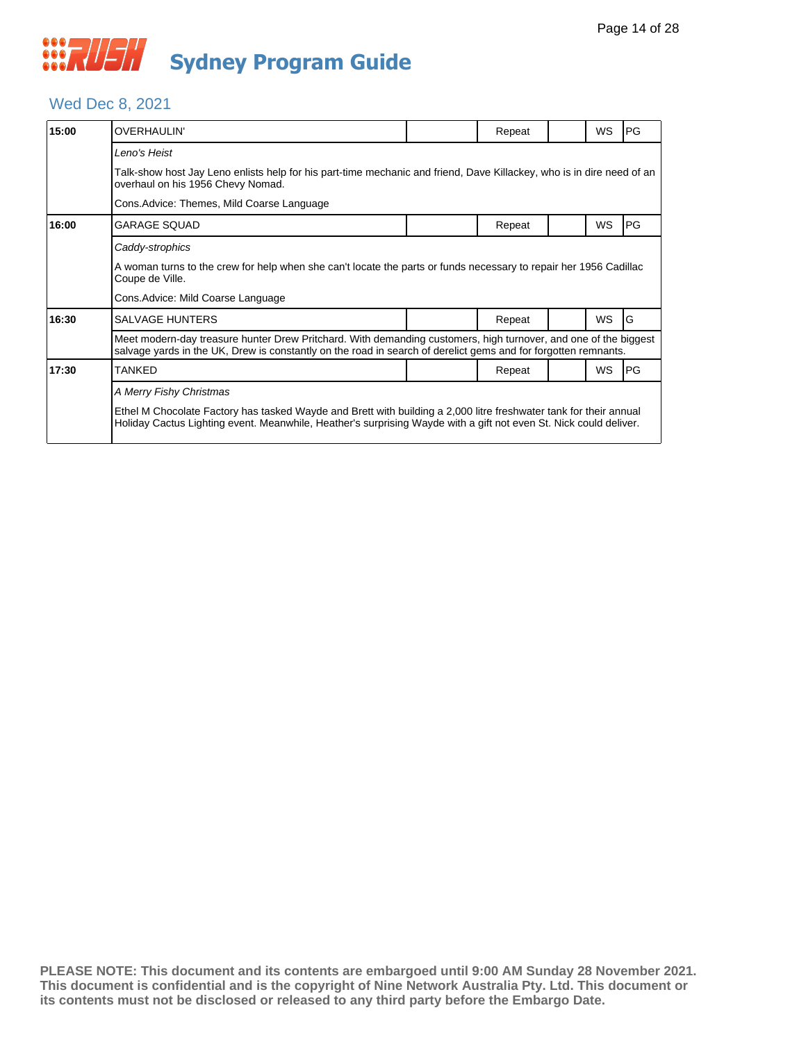## *CONVERTIER* **Sydney Program Guide**

#### Wed Dec 8, 2021

| 15:00 | <b>OVERHAULIN'</b>                                                                                                                                                                                                                     |  | Repeat |  | <b>WS</b> | PG |  |  |
|-------|----------------------------------------------------------------------------------------------------------------------------------------------------------------------------------------------------------------------------------------|--|--------|--|-----------|----|--|--|
|       | Leno's Heist                                                                                                                                                                                                                           |  |        |  |           |    |  |  |
|       | Talk-show host Jay Leno enlists help for his part-time mechanic and friend, Dave Killackey, who is in dire need of an<br>overhaul on his 1956 Chevy Nomad.                                                                             |  |        |  |           |    |  |  |
|       | Cons. Advice: Themes, Mild Coarse Language                                                                                                                                                                                             |  |        |  |           |    |  |  |
| 16:00 | <b>GARAGE SQUAD</b>                                                                                                                                                                                                                    |  | Repeat |  | <b>WS</b> | PG |  |  |
|       | Caddy-strophics                                                                                                                                                                                                                        |  |        |  |           |    |  |  |
|       | A woman turns to the crew for help when she can't locate the parts or funds necessary to repair her 1956 Cadillac<br>Coupe de Ville.                                                                                                   |  |        |  |           |    |  |  |
|       | Cons. Advice: Mild Coarse Language                                                                                                                                                                                                     |  |        |  |           |    |  |  |
| 16:30 | <b>SALVAGE HUNTERS</b>                                                                                                                                                                                                                 |  | Repeat |  | <b>WS</b> | G  |  |  |
|       | Meet modern-day treasure hunter Drew Pritchard. With demanding customers, high turnover, and one of the biggest<br>salvage yards in the UK, Drew is constantly on the road in search of derelict gems and for forgotten remnants.      |  |        |  |           |    |  |  |
| 17:30 | <b>TANKED</b>                                                                                                                                                                                                                          |  | Repeat |  | WS        | PG |  |  |
|       | A Merry Fishy Christmas                                                                                                                                                                                                                |  |        |  |           |    |  |  |
|       | Ethel M Chocolate Factory has tasked Wayde and Brett with building a 2,000 litre freshwater tank for their annual<br>Holiday Cactus Lighting event. Meanwhile, Heather's surprising Wayde with a gift not even St. Nick could deliver. |  |        |  |           |    |  |  |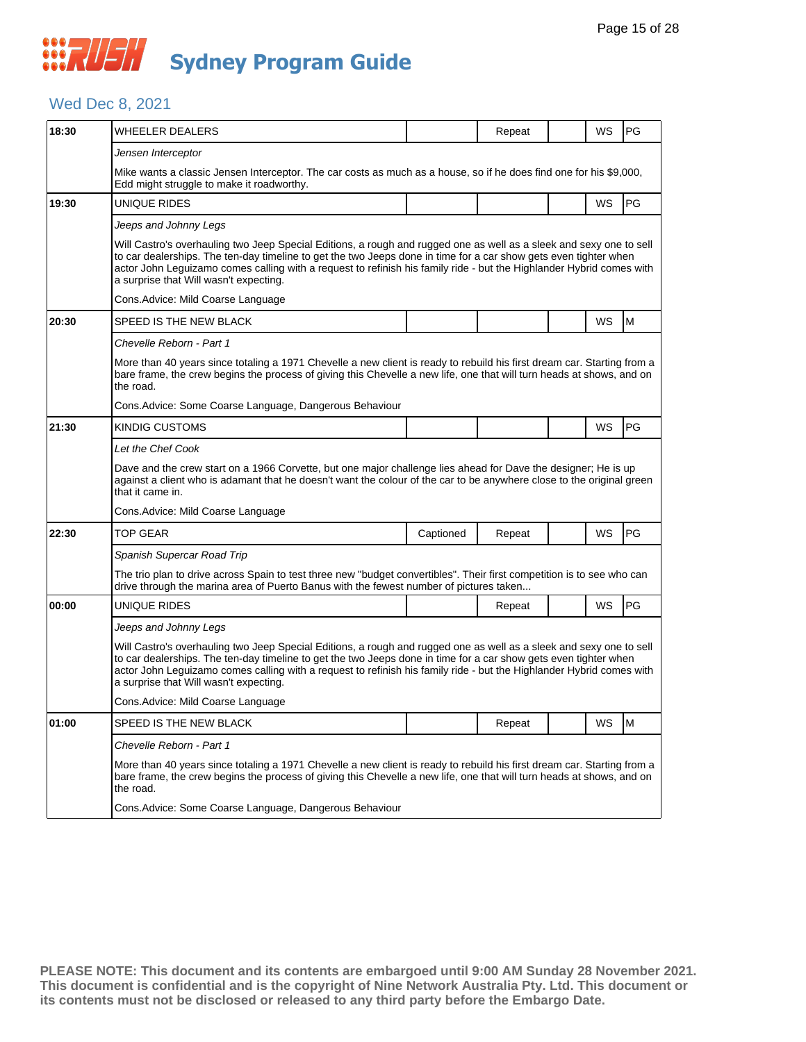### Wed Dec 8, 2021

| 18:30 | <b>WHEELER DEALERS</b>                                                                                                                                                                                                                                                                                                                                                                                    |           | Repeat |  | WS | PG        |  |  |  |
|-------|-----------------------------------------------------------------------------------------------------------------------------------------------------------------------------------------------------------------------------------------------------------------------------------------------------------------------------------------------------------------------------------------------------------|-----------|--------|--|----|-----------|--|--|--|
|       | Jensen Interceptor                                                                                                                                                                                                                                                                                                                                                                                        |           |        |  |    |           |  |  |  |
|       | Mike wants a classic Jensen Interceptor. The car costs as much as a house, so if he does find one for his \$9,000,<br>Edd might struggle to make it roadworthy.                                                                                                                                                                                                                                           |           |        |  |    |           |  |  |  |
| 19:30 | UNIQUE RIDES                                                                                                                                                                                                                                                                                                                                                                                              |           |        |  | WS | PG        |  |  |  |
|       | Jeeps and Johnny Legs                                                                                                                                                                                                                                                                                                                                                                                     |           |        |  |    |           |  |  |  |
|       | Will Castro's overhauling two Jeep Special Editions, a rough and rugged one as well as a sleek and sexy one to sell<br>to car dealerships. The ten-day timeline to get the two Jeeps done in time for a car show gets even tighter when<br>actor John Leguizamo comes calling with a request to refinish his family ride - but the Highlander Hybrid comes with<br>a surprise that Will wasn't expecting. |           |        |  |    |           |  |  |  |
|       | Cons. Advice: Mild Coarse Language                                                                                                                                                                                                                                                                                                                                                                        |           |        |  |    |           |  |  |  |
| 20:30 | SPEED IS THE NEW BLACK                                                                                                                                                                                                                                                                                                                                                                                    |           |        |  | WS | M         |  |  |  |
|       | Chevelle Reborn - Part 1                                                                                                                                                                                                                                                                                                                                                                                  |           |        |  |    |           |  |  |  |
|       | More than 40 years since totaling a 1971 Chevelle a new client is ready to rebuild his first dream car. Starting from a<br>bare frame, the crew begins the process of giving this Chevelle a new life, one that will turn heads at shows, and on<br>the road.                                                                                                                                             |           |        |  |    |           |  |  |  |
|       | Cons. Advice: Some Coarse Language, Dangerous Behaviour                                                                                                                                                                                                                                                                                                                                                   |           |        |  |    |           |  |  |  |
| 21:30 | KINDIG CUSTOMS                                                                                                                                                                                                                                                                                                                                                                                            |           |        |  | WS | <b>PG</b> |  |  |  |
|       | Let the Chef Cook                                                                                                                                                                                                                                                                                                                                                                                         |           |        |  |    |           |  |  |  |
|       | Dave and the crew start on a 1966 Corvette, but one major challenge lies ahead for Dave the designer; He is up<br>against a client who is adamant that he doesn't want the colour of the car to be anywhere close to the original green<br>that it came in.                                                                                                                                               |           |        |  |    |           |  |  |  |
|       | Cons. Advice: Mild Coarse Language                                                                                                                                                                                                                                                                                                                                                                        |           |        |  |    |           |  |  |  |
| 22:30 | <b>TOP GEAR</b>                                                                                                                                                                                                                                                                                                                                                                                           | Captioned | Repeat |  | WS | PG        |  |  |  |
|       | Spanish Supercar Road Trip                                                                                                                                                                                                                                                                                                                                                                                |           |        |  |    |           |  |  |  |
|       | The trio plan to drive across Spain to test three new "budget convertibles". Their first competition is to see who can<br>drive through the marina area of Puerto Banus with the fewest number of pictures taken                                                                                                                                                                                          |           |        |  |    |           |  |  |  |
| 00:00 | UNIQUE RIDES                                                                                                                                                                                                                                                                                                                                                                                              |           | Repeat |  | WS | PG        |  |  |  |
|       | Jeeps and Johnny Legs                                                                                                                                                                                                                                                                                                                                                                                     |           |        |  |    |           |  |  |  |
|       | Will Castro's overhauling two Jeep Special Editions, a rough and rugged one as well as a sleek and sexy one to sell<br>to car dealerships. The ten-day timeline to get the two Jeeps done in time for a car show gets even tighter when<br>actor John Lequizamo comes calling with a request to refinish his family ride - but the Highlander Hybrid comes with<br>a surprise that Will wasn't expecting. |           |        |  |    |           |  |  |  |
|       | Cons. Advice: Mild Coarse Language                                                                                                                                                                                                                                                                                                                                                                        |           |        |  |    |           |  |  |  |
| 01:00 | SPEED IS THE NEW BLACK                                                                                                                                                                                                                                                                                                                                                                                    |           | Repeat |  | WS | M         |  |  |  |
|       | Chevelle Reborn - Part 1                                                                                                                                                                                                                                                                                                                                                                                  |           |        |  |    |           |  |  |  |
|       | More than 40 years since totaling a 1971 Chevelle a new client is ready to rebuild his first dream car. Starting from a<br>bare frame, the crew begins the process of giving this Chevelle a new life, one that will turn heads at shows, and on<br>the road.                                                                                                                                             |           |        |  |    |           |  |  |  |
|       | Cons. Advice: Some Coarse Language, Dangerous Behaviour                                                                                                                                                                                                                                                                                                                                                   |           |        |  |    |           |  |  |  |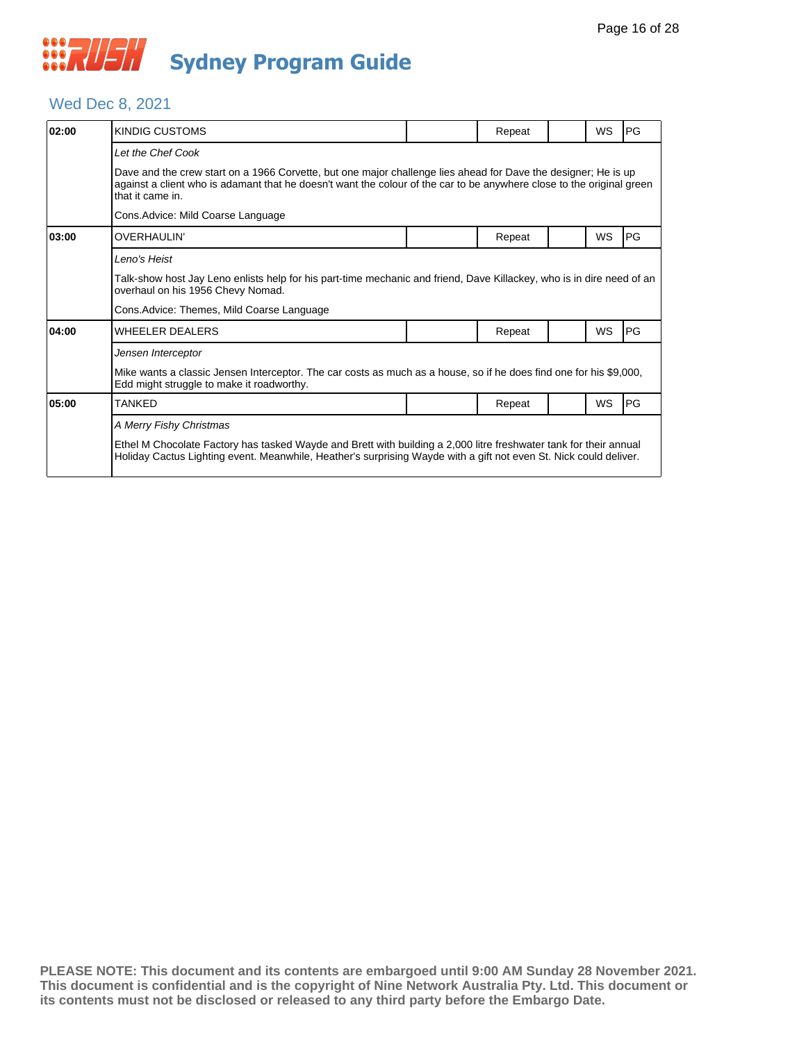## *CONSTRUSH* **Sydney Program Guide**

### Wed Dec 8, 2021

| 02:00 | KINDIG CUSTOMS                                                                                                                                                                                                                                              |  | Repeat |  | <b>WS</b> | <b>IPG</b> |  |  |
|-------|-------------------------------------------------------------------------------------------------------------------------------------------------------------------------------------------------------------------------------------------------------------|--|--------|--|-----------|------------|--|--|
|       | Let the Chef Cook                                                                                                                                                                                                                                           |  |        |  |           |            |  |  |
|       | Dave and the crew start on a 1966 Corvette, but one major challenge lies ahead for Dave the designer; He is up<br>against a client who is adamant that he doesn't want the colour of the car to be anywhere close to the original green<br>that it came in. |  |        |  |           |            |  |  |
|       | Cons. Advice: Mild Coarse Language                                                                                                                                                                                                                          |  |        |  |           |            |  |  |
| 03:00 | <b>OVERHAULIN'</b>                                                                                                                                                                                                                                          |  | Repeat |  | WS        | <b>PG</b>  |  |  |
|       | Leno's Heist                                                                                                                                                                                                                                                |  |        |  |           |            |  |  |
|       | Talk-show host Jay Leno enlists help for his part-time mechanic and friend, Dave Killackey, who is in dire need of an<br>overhaul on his 1956 Chevy Nomad.                                                                                                  |  |        |  |           |            |  |  |
|       | Cons. Advice: Themes, Mild Coarse Language                                                                                                                                                                                                                  |  |        |  |           |            |  |  |
| 04:00 | <b>WHEELER DEALERS</b>                                                                                                                                                                                                                                      |  | Repeat |  | <b>WS</b> | <b>IPG</b> |  |  |
|       | Jensen Interceptor                                                                                                                                                                                                                                          |  |        |  |           |            |  |  |
|       | Mike wants a classic Jensen Interceptor. The car costs as much as a house, so if he does find one for his \$9,000,<br>Edd might struggle to make it roadworthy.                                                                                             |  |        |  |           |            |  |  |
| 05:00 | <b>TANKED</b>                                                                                                                                                                                                                                               |  | Repeat |  | WS        | <b>IPG</b> |  |  |
|       | A Merry Fishy Christmas                                                                                                                                                                                                                                     |  |        |  |           |            |  |  |
|       | Ethel M Chocolate Factory has tasked Wayde and Brett with building a 2,000 litre freshwater tank for their annual<br>Holiday Cactus Lighting event. Meanwhile, Heather's surprising Wayde with a gift not even St. Nick could deliver.                      |  |        |  |           |            |  |  |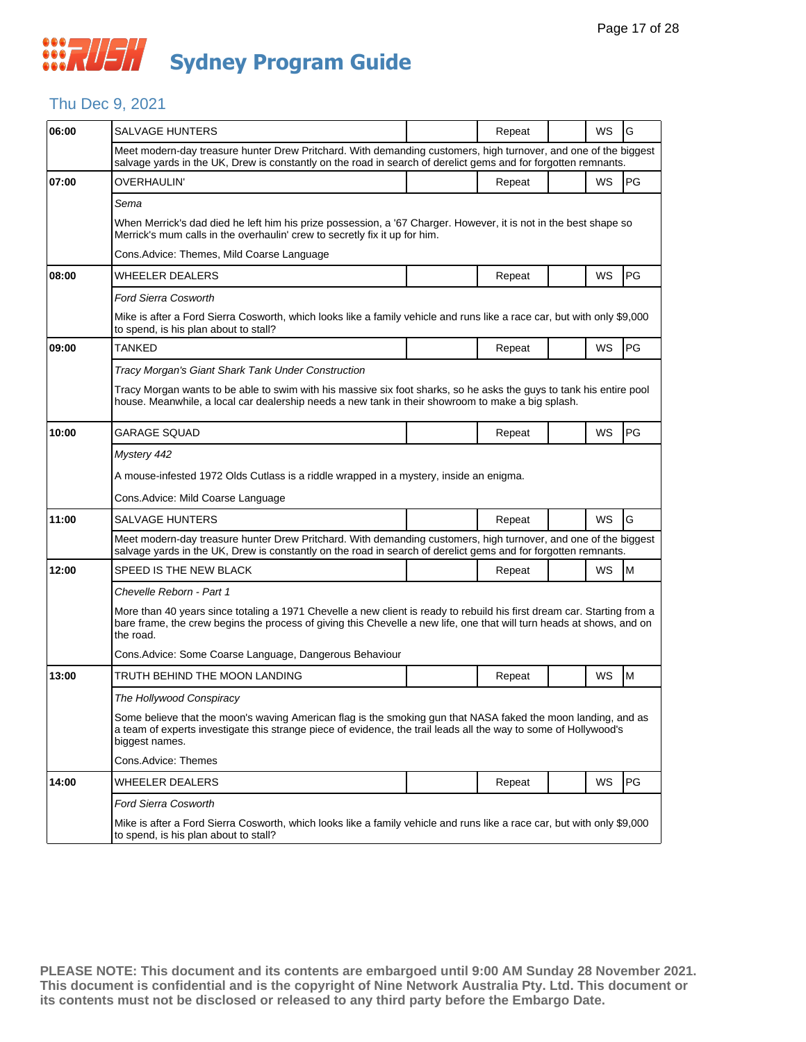## Thu Dec 9, 2021

| 06:00 | SALVAGE HUNTERS                                                                                                                                                                                                                                               |  | Repeat |  | WS | G         |  |  |  |
|-------|---------------------------------------------------------------------------------------------------------------------------------------------------------------------------------------------------------------------------------------------------------------|--|--------|--|----|-----------|--|--|--|
|       | Meet modern-day treasure hunter Drew Pritchard. With demanding customers, high turnover, and one of the biggest<br>salvage yards in the UK, Drew is constantly on the road in search of derelict gems and for forgotten remnants.                             |  |        |  |    |           |  |  |  |
| 07:00 | OVERHAULIN'                                                                                                                                                                                                                                                   |  | Repeat |  | WS | PG        |  |  |  |
|       | Sema                                                                                                                                                                                                                                                          |  |        |  |    |           |  |  |  |
|       | When Merrick's dad died he left him his prize possession, a '67 Charger. However, it is not in the best shape so<br>Merrick's mum calls in the overhaulin' crew to secretly fix it up for him.                                                                |  |        |  |    |           |  |  |  |
|       | Cons. Advice: Themes, Mild Coarse Language                                                                                                                                                                                                                    |  |        |  |    |           |  |  |  |
| 08:00 | WHEELER DEALERS                                                                                                                                                                                                                                               |  | Repeat |  | WS | <b>PG</b> |  |  |  |
|       | <b>Ford Sierra Cosworth</b>                                                                                                                                                                                                                                   |  |        |  |    |           |  |  |  |
|       | Mike is after a Ford Sierra Cosworth, which looks like a family vehicle and runs like a race car, but with only \$9,000<br>to spend, is his plan about to stall?                                                                                              |  |        |  |    |           |  |  |  |
| 09:00 | TANKED                                                                                                                                                                                                                                                        |  | Repeat |  | WS | PG        |  |  |  |
|       | Tracy Morgan's Giant Shark Tank Under Construction                                                                                                                                                                                                            |  |        |  |    |           |  |  |  |
|       | Tracy Morgan wants to be able to swim with his massive six foot sharks, so he asks the guys to tank his entire pool<br>house. Meanwhile, a local car dealership needs a new tank in their showroom to make a big splash.                                      |  |        |  |    |           |  |  |  |
| 10:00 | <b>GARAGE SOUAD</b>                                                                                                                                                                                                                                           |  | Repeat |  | WS | PG        |  |  |  |
|       | Mystery 442                                                                                                                                                                                                                                                   |  |        |  |    |           |  |  |  |
|       | A mouse-infested 1972 Olds Cutlass is a riddle wrapped in a mystery, inside an enigma.                                                                                                                                                                        |  |        |  |    |           |  |  |  |
|       | Cons.Advice: Mild Coarse Language                                                                                                                                                                                                                             |  |        |  |    |           |  |  |  |
| 11:00 | <b>SALVAGE HUNTERS</b>                                                                                                                                                                                                                                        |  | Repeat |  | WS | G         |  |  |  |
|       | Meet modern-day treasure hunter Drew Pritchard. With demanding customers, high turnover, and one of the biggest<br>salvage yards in the UK, Drew is constantly on the road in search of derelict gems and for forgotten remnants.                             |  |        |  |    |           |  |  |  |
| 12:00 | SPEED IS THE NEW BLACK                                                                                                                                                                                                                                        |  | Repeat |  | WS | M         |  |  |  |
|       | Chevelle Reborn - Part 1                                                                                                                                                                                                                                      |  |        |  |    |           |  |  |  |
|       | More than 40 years since totaling a 1971 Chevelle a new client is ready to rebuild his first dream car. Starting from a<br>bare frame, the crew begins the process of giving this Chevelle a new life, one that will turn heads at shows, and on<br>the road. |  |        |  |    |           |  |  |  |
|       | Cons. Advice: Some Coarse Language, Dangerous Behaviour                                                                                                                                                                                                       |  |        |  |    |           |  |  |  |
| 13:00 | TRUTH BEHIND THE MOON LANDING                                                                                                                                                                                                                                 |  | Repeat |  | WS | M         |  |  |  |
|       | The Hollywood Conspiracy                                                                                                                                                                                                                                      |  |        |  |    |           |  |  |  |
|       | Some believe that the moon's waving American flag is the smoking gun that NASA faked the moon landing, and as<br>a team of experts investigate this strange piece of evidence, the trail leads all the way to some of Hollywood's<br>biggest names.           |  |        |  |    |           |  |  |  |
|       | Cons.Advice: Themes                                                                                                                                                                                                                                           |  |        |  |    |           |  |  |  |
| 14:00 | WHEELER DEALERS                                                                                                                                                                                                                                               |  | Repeat |  | WS | PG        |  |  |  |
|       | Ford Sierra Cosworth                                                                                                                                                                                                                                          |  |        |  |    |           |  |  |  |
|       | Mike is after a Ford Sierra Cosworth, which looks like a family vehicle and runs like a race car, but with only \$9,000<br>to spend, is his plan about to stall?                                                                                              |  |        |  |    |           |  |  |  |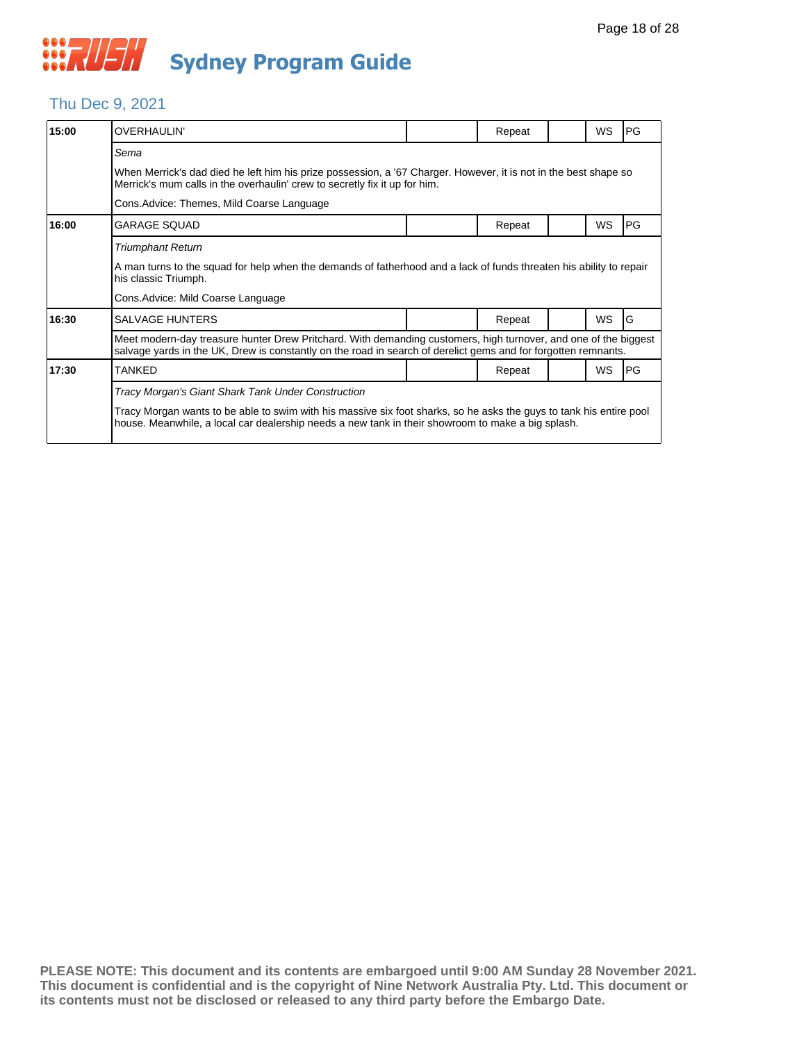

#### Thu Dec 9, 2021

| 15:00 | <b>OVERHAULIN'</b>                                                                                                                                                                                                                |  | Repeat |  | WS        | PG        |  |  |  |
|-------|-----------------------------------------------------------------------------------------------------------------------------------------------------------------------------------------------------------------------------------|--|--------|--|-----------|-----------|--|--|--|
|       | Sema                                                                                                                                                                                                                              |  |        |  |           |           |  |  |  |
|       | When Merrick's dad died he left him his prize possession, a '67 Charger. However, it is not in the best shape so<br>Merrick's mum calls in the overhaulin' crew to secretly fix it up for him.                                    |  |        |  |           |           |  |  |  |
|       | Cons. Advice: Themes, Mild Coarse Language                                                                                                                                                                                        |  |        |  |           |           |  |  |  |
| 16:00 | <b>GARAGE SQUAD</b>                                                                                                                                                                                                               |  | Repeat |  | <b>WS</b> | <b>PG</b> |  |  |  |
|       | <b>Triumphant Return</b>                                                                                                                                                                                                          |  |        |  |           |           |  |  |  |
|       | A man turns to the squad for help when the demands of fatherhood and a lack of funds threaten his ability to repair<br>his classic Triumph.                                                                                       |  |        |  |           |           |  |  |  |
|       | Cons. Advice: Mild Coarse Language                                                                                                                                                                                                |  |        |  |           |           |  |  |  |
| 16:30 | <b>SALVAGE HUNTERS</b>                                                                                                                                                                                                            |  | Repeat |  | <b>WS</b> | G         |  |  |  |
|       | Meet modern-day treasure hunter Drew Pritchard. With demanding customers, high turnover, and one of the biggest<br>salvage yards in the UK, Drew is constantly on the road in search of derelict gems and for forgotten remnants. |  |        |  |           |           |  |  |  |
| 17:30 | <b>TANKED</b>                                                                                                                                                                                                                     |  | Repeat |  | <b>WS</b> | PG        |  |  |  |
|       | Tracy Morgan's Giant Shark Tank Under Construction                                                                                                                                                                                |  |        |  |           |           |  |  |  |
|       | Tracy Morgan wants to be able to swim with his massive six foot sharks, so he asks the guys to tank his entire pool<br>house. Meanwhile, a local car dealership needs a new tank in their showroom to make a big splash.          |  |        |  |           |           |  |  |  |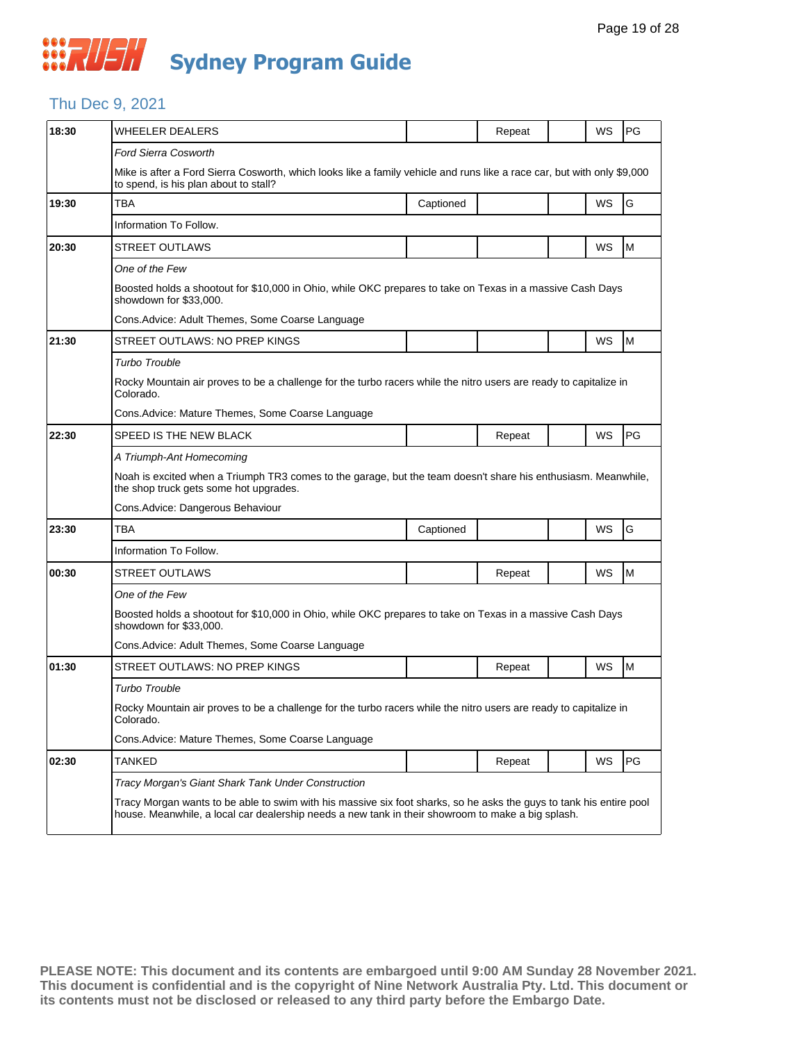### Thu Dec 9, 2021

| 18:30 | WHEELER DEALERS                                                                                                                                                                                                          |           | Repeat | WS        | PG |  |  |  |
|-------|--------------------------------------------------------------------------------------------------------------------------------------------------------------------------------------------------------------------------|-----------|--------|-----------|----|--|--|--|
|       | <b>Ford Sierra Cosworth</b>                                                                                                                                                                                              |           |        |           |    |  |  |  |
|       | Mike is after a Ford Sierra Cosworth, which looks like a family vehicle and runs like a race car, but with only \$9,000<br>to spend, is his plan about to stall?                                                         |           |        |           |    |  |  |  |
| 19:30 | TBA                                                                                                                                                                                                                      | Captioned |        | WS        | G  |  |  |  |
|       | Information To Follow.                                                                                                                                                                                                   |           |        |           |    |  |  |  |
| 20:30 | <b>STREET OUTLAWS</b>                                                                                                                                                                                                    |           |        | WS        | M  |  |  |  |
|       | One of the Few                                                                                                                                                                                                           |           |        |           |    |  |  |  |
|       | Boosted holds a shootout for \$10,000 in Ohio, while OKC prepares to take on Texas in a massive Cash Days<br>showdown for \$33,000.                                                                                      |           |        |           |    |  |  |  |
|       | Cons. Advice: Adult Themes, Some Coarse Language                                                                                                                                                                         |           |        |           |    |  |  |  |
| 21:30 | STREET OUTLAWS: NO PREP KINGS                                                                                                                                                                                            |           |        | WS        | M  |  |  |  |
|       | <b>Turbo Trouble</b>                                                                                                                                                                                                     |           |        |           |    |  |  |  |
|       | Rocky Mountain air proves to be a challenge for the turbo racers while the nitro users are ready to capitalize in<br>Colorado.                                                                                           |           |        |           |    |  |  |  |
|       | Cons.Advice: Mature Themes, Some Coarse Language                                                                                                                                                                         |           |        |           |    |  |  |  |
| 22:30 | SPEED IS THE NEW BLACK                                                                                                                                                                                                   |           | Repeat | WS        | PG |  |  |  |
|       | A Triumph-Ant Homecoming                                                                                                                                                                                                 |           |        |           |    |  |  |  |
|       | Noah is excited when a Triumph TR3 comes to the garage, but the team doesn't share his enthusiasm. Meanwhile,<br>the shop truck gets some hot upgrades.                                                                  |           |        |           |    |  |  |  |
|       | Cons.Advice: Dangerous Behaviour                                                                                                                                                                                         |           |        |           |    |  |  |  |
| 23:30 | <b>TBA</b>                                                                                                                                                                                                               | Captioned |        | WS        | G  |  |  |  |
|       | Information To Follow.                                                                                                                                                                                                   |           |        |           |    |  |  |  |
| 00:30 | STREET OUTLAWS                                                                                                                                                                                                           |           | Repeat | WS        | M  |  |  |  |
|       | One of the Few                                                                                                                                                                                                           |           |        |           |    |  |  |  |
|       | Boosted holds a shootout for \$10,000 in Ohio, while OKC prepares to take on Texas in a massive Cash Days<br>showdown for \$33,000.                                                                                      |           |        |           |    |  |  |  |
|       | Cons. Advice: Adult Themes, Some Coarse Language                                                                                                                                                                         |           |        |           |    |  |  |  |
| 01:30 | STREET OUTLAWS: NO PREP KINGS                                                                                                                                                                                            |           | Repeat | WS        | M  |  |  |  |
|       | Turbo Trouble                                                                                                                                                                                                            |           |        |           |    |  |  |  |
|       | Rocky Mountain air proves to be a challenge for the turbo racers while the nitro users are ready to capitalize in<br>Colorado.                                                                                           |           |        |           |    |  |  |  |
|       | Cons. Advice: Mature Themes, Some Coarse Language                                                                                                                                                                        |           |        |           |    |  |  |  |
| 02:30 | TANKED                                                                                                                                                                                                                   |           | Repeat | <b>WS</b> | PG |  |  |  |
|       | Tracy Morgan's Giant Shark Tank Under Construction                                                                                                                                                                       |           |        |           |    |  |  |  |
|       | Tracy Morgan wants to be able to swim with his massive six foot sharks, so he asks the guys to tank his entire pool<br>house. Meanwhile, a local car dealership needs a new tank in their showroom to make a big splash. |           |        |           |    |  |  |  |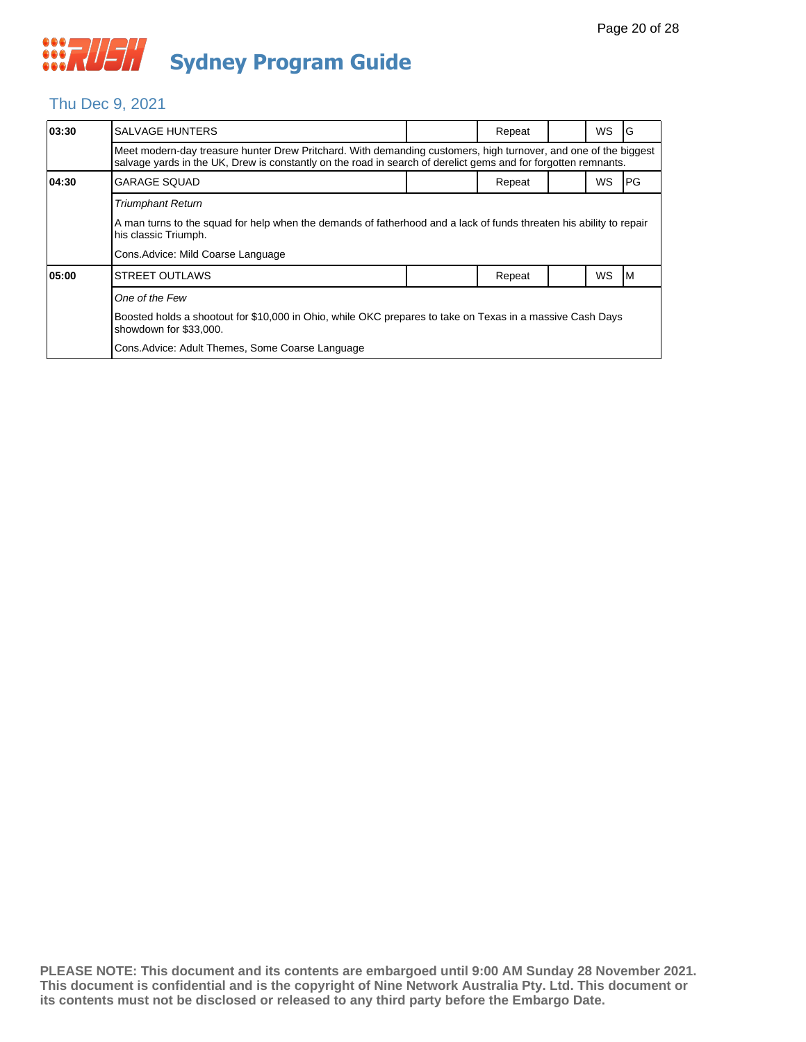### Thu Dec 9, 2021

| 03:30 | <b>SALVAGE HUNTERS</b>                                                                                                                                                                                                            |  | Repeat |  | <b>WS</b> | G         |  |  |  |
|-------|-----------------------------------------------------------------------------------------------------------------------------------------------------------------------------------------------------------------------------------|--|--------|--|-----------|-----------|--|--|--|
|       | Meet modern-day treasure hunter Drew Pritchard. With demanding customers, high turnover, and one of the biggest<br>salvage yards in the UK, Drew is constantly on the road in search of derelict gems and for forgotten remnants. |  |        |  |           |           |  |  |  |
| 04:30 | <b>GARAGE SQUAD</b>                                                                                                                                                                                                               |  | Repeat |  | <b>WS</b> | <b>PG</b> |  |  |  |
|       | <b>Triumphant Return</b>                                                                                                                                                                                                          |  |        |  |           |           |  |  |  |
|       | A man turns to the squad for help when the demands of fatherhood and a lack of funds threaten his ability to repair<br>his classic Triumph.                                                                                       |  |        |  |           |           |  |  |  |
|       | Cons. Advice: Mild Coarse Language                                                                                                                                                                                                |  |        |  |           |           |  |  |  |
| 05:00 | <b>STREET OUTLAWS</b>                                                                                                                                                                                                             |  | Repeat |  | <b>WS</b> | ıм        |  |  |  |
|       | One of the Few                                                                                                                                                                                                                    |  |        |  |           |           |  |  |  |
|       | Boosted holds a shootout for \$10,000 in Ohio, while OKC prepares to take on Texas in a massive Cash Days<br>showdown for \$33,000.                                                                                               |  |        |  |           |           |  |  |  |
|       | Cons. Advice: Adult Themes, Some Coarse Language                                                                                                                                                                                  |  |        |  |           |           |  |  |  |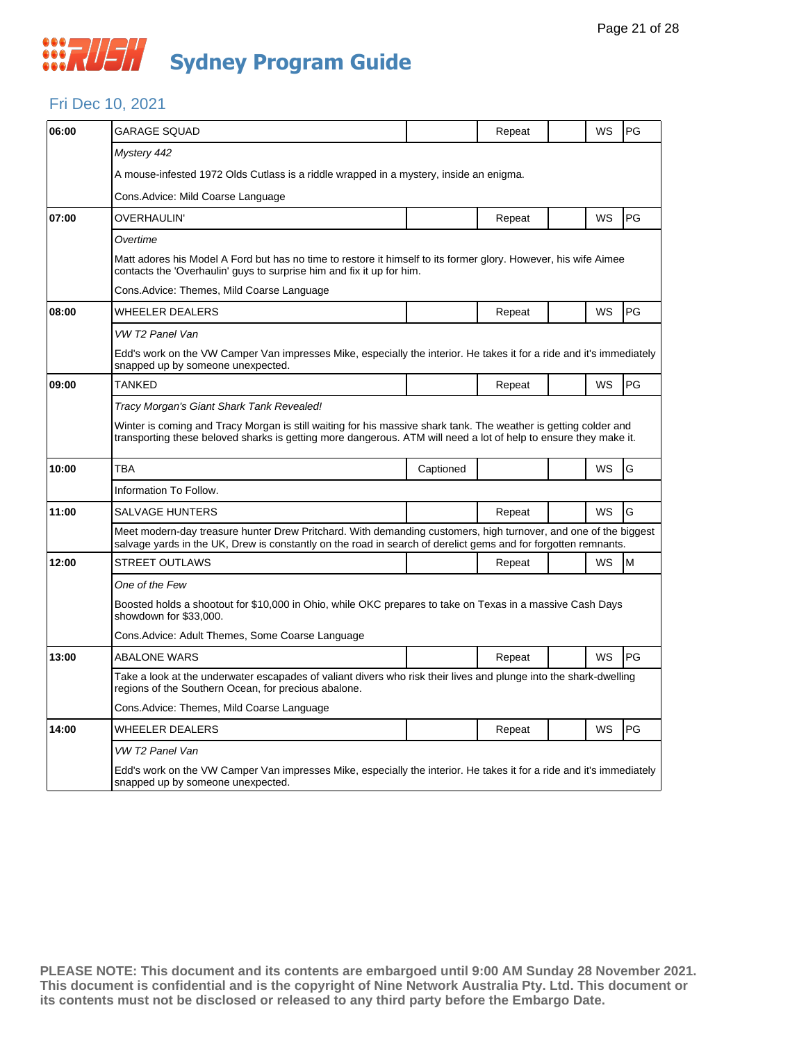

#### Fri Dec 10, 2021

| 06:00 | GARAGE SQUAD                                                                                                                                                                                                                         |           | Repeat |  | WS        | PG |  |  |
|-------|--------------------------------------------------------------------------------------------------------------------------------------------------------------------------------------------------------------------------------------|-----------|--------|--|-----------|----|--|--|
|       | Mystery 442                                                                                                                                                                                                                          |           |        |  |           |    |  |  |
|       | A mouse-infested 1972 Olds Cutlass is a riddle wrapped in a mystery, inside an enigma.                                                                                                                                               |           |        |  |           |    |  |  |
|       | Cons.Advice: Mild Coarse Language                                                                                                                                                                                                    |           |        |  |           |    |  |  |
| 07:00 | OVERHAULIN'                                                                                                                                                                                                                          |           | Repeat |  | WS        | PG |  |  |
|       | Overtime                                                                                                                                                                                                                             |           |        |  |           |    |  |  |
|       | Matt adores his Model A Ford but has no time to restore it himself to its former glory. However, his wife Aimee<br>contacts the 'Overhaulin' guys to surprise him and fix it up for him.                                             |           |        |  |           |    |  |  |
|       | Cons.Advice: Themes, Mild Coarse Language                                                                                                                                                                                            |           |        |  |           |    |  |  |
| 08:00 | WHEELER DEALERS                                                                                                                                                                                                                      |           | Repeat |  | <b>WS</b> | PG |  |  |
|       | VW T2 Panel Van                                                                                                                                                                                                                      |           |        |  |           |    |  |  |
|       | Edd's work on the VW Camper Van impresses Mike, especially the interior. He takes it for a ride and it's immediately<br>snapped up by someone unexpected.                                                                            |           |        |  |           |    |  |  |
| 09:00 | <b>TANKED</b>                                                                                                                                                                                                                        |           | Repeat |  | WS        | PG |  |  |
|       | Tracy Morgan's Giant Shark Tank Revealed!                                                                                                                                                                                            |           |        |  |           |    |  |  |
|       | Winter is coming and Tracy Morgan is still waiting for his massive shark tank. The weather is getting colder and<br>transporting these beloved sharks is getting more dangerous. ATM will need a lot of help to ensure they make it. |           |        |  |           |    |  |  |
| 10:00 | <b>TBA</b>                                                                                                                                                                                                                           | Captioned |        |  | WS        | G  |  |  |
|       | Information To Follow.                                                                                                                                                                                                               |           |        |  |           |    |  |  |
| 11:00 | SALVAGE HUNTERS                                                                                                                                                                                                                      |           | Repeat |  | <b>WS</b> | G  |  |  |
|       | Meet modern-day treasure hunter Drew Pritchard. With demanding customers, high turnover, and one of the biggest<br>salvage yards in the UK, Drew is constantly on the road in search of derelict gems and for forgotten remnants.    |           |        |  |           |    |  |  |
| 12:00 | STREET OUTLAWS                                                                                                                                                                                                                       |           | Repeat |  | WS        | M  |  |  |
|       | One of the Few                                                                                                                                                                                                                       |           |        |  |           |    |  |  |
|       | Boosted holds a shootout for \$10,000 in Ohio, while OKC prepares to take on Texas in a massive Cash Days<br>showdown for \$33,000.                                                                                                  |           |        |  |           |    |  |  |
|       | Cons.Advice: Adult Themes, Some Coarse Language                                                                                                                                                                                      |           |        |  |           |    |  |  |
| 13:00 | <b>ABALONE WARS</b>                                                                                                                                                                                                                  |           | Repeat |  | WS        | PG |  |  |
|       | Take a look at the underwater escapades of valiant divers who risk their lives and plunge into the shark-dwelling<br>regions of the Southern Ocean, for precious abalone.                                                            |           |        |  |           |    |  |  |
|       | Cons.Advice: Themes, Mild Coarse Language                                                                                                                                                                                            |           |        |  |           |    |  |  |
| 14:00 | WHEELER DEALERS                                                                                                                                                                                                                      |           | Repeat |  | WS        | PG |  |  |
|       | VW T2 Panel Van                                                                                                                                                                                                                      |           |        |  |           |    |  |  |
|       | Edd's work on the VW Camper Van impresses Mike, especially the interior. He takes it for a ride and it's immediately<br>snapped up by someone unexpected.                                                                            |           |        |  |           |    |  |  |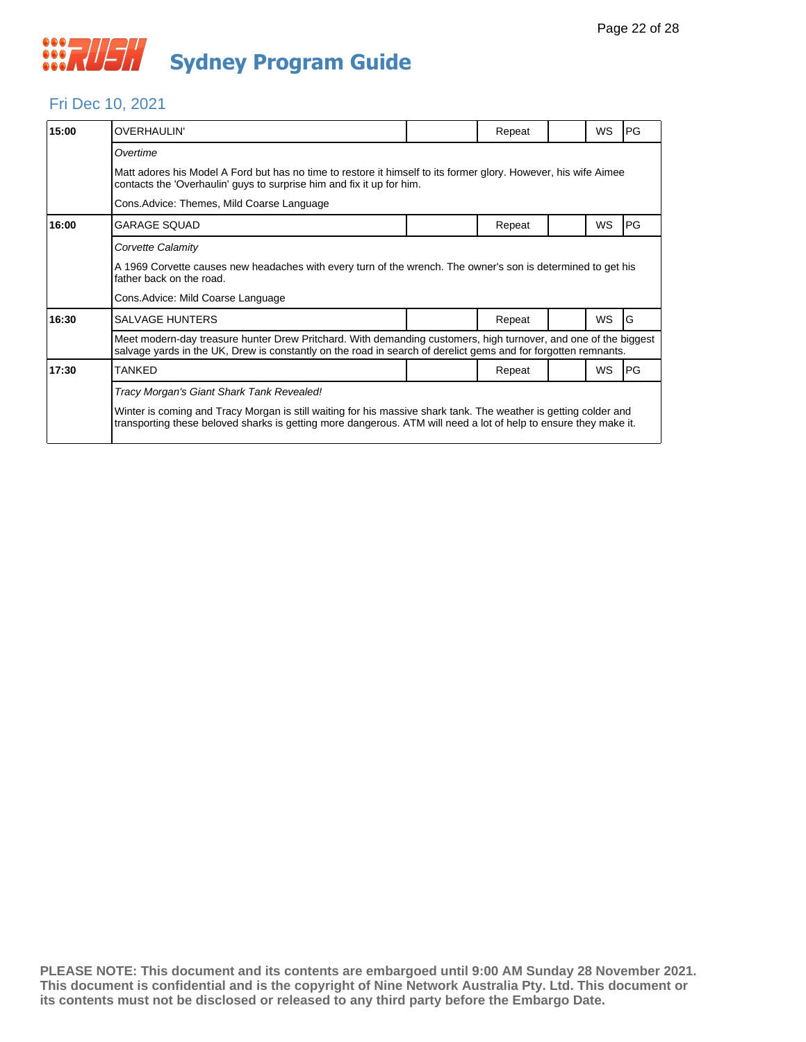

#### Fri Dec 10, 2021

| 15:00 | <b>OVERHAULIN'</b>                                                                                                                                                                                                                   |  | Repeat |  | <b>WS</b> | PG |  |  |  |
|-------|--------------------------------------------------------------------------------------------------------------------------------------------------------------------------------------------------------------------------------------|--|--------|--|-----------|----|--|--|--|
|       | Overtime                                                                                                                                                                                                                             |  |        |  |           |    |  |  |  |
|       | Matt adores his Model A Ford but has no time to restore it himself to its former glory. However, his wife Aimee<br>contacts the 'Overhaulin' guys to surprise him and fix it up for him.                                             |  |        |  |           |    |  |  |  |
|       | Cons. Advice: Themes, Mild Coarse Language                                                                                                                                                                                           |  |        |  |           |    |  |  |  |
| 16:00 | <b>GARAGE SOUAD</b>                                                                                                                                                                                                                  |  | Repeat |  | <b>WS</b> | PG |  |  |  |
|       | Corvette Calamity                                                                                                                                                                                                                    |  |        |  |           |    |  |  |  |
|       | A 1969 Corvette causes new headaches with every turn of the wrench. The owner's son is determined to get his<br>father back on the road.                                                                                             |  |        |  |           |    |  |  |  |
|       | Cons. Advice: Mild Coarse Language                                                                                                                                                                                                   |  |        |  |           |    |  |  |  |
| 16:30 | <b>SALVAGE HUNTERS</b>                                                                                                                                                                                                               |  | Repeat |  | <b>WS</b> | G  |  |  |  |
|       | Meet modern-day treasure hunter Drew Pritchard. With demanding customers, high turnover, and one of the biggest<br>salvage yards in the UK, Drew is constantly on the road in search of derelict gems and for forgotten remnants.    |  |        |  |           |    |  |  |  |
| 17:30 | TANKED                                                                                                                                                                                                                               |  | Repeat |  | WS        | PG |  |  |  |
|       | Tracy Morgan's Giant Shark Tank Revealed!                                                                                                                                                                                            |  |        |  |           |    |  |  |  |
|       | Winter is coming and Tracy Morgan is still waiting for his massive shark tank. The weather is getting colder and<br>transporting these beloved sharks is getting more dangerous. ATM will need a lot of help to ensure they make it. |  |        |  |           |    |  |  |  |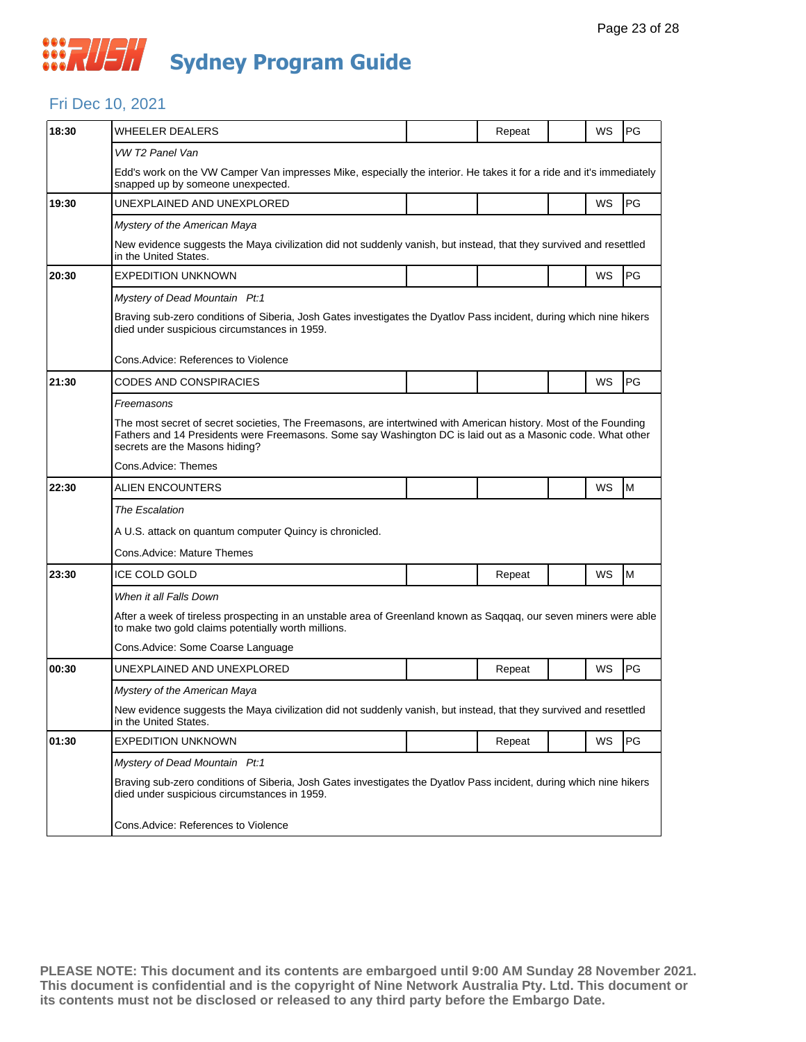#### Fri Dec 10, 2021

| 18:30 | <b>WHEELER DEALERS</b>                                                                                                                                                                                                                                            |  | Repeat |  | WS | PG |  |  |  |
|-------|-------------------------------------------------------------------------------------------------------------------------------------------------------------------------------------------------------------------------------------------------------------------|--|--------|--|----|----|--|--|--|
|       | VW T2 Panel Van                                                                                                                                                                                                                                                   |  |        |  |    |    |  |  |  |
|       | Edd's work on the VW Camper Van impresses Mike, especially the interior. He takes it for a ride and it's immediately<br>snapped up by someone unexpected.                                                                                                         |  |        |  |    |    |  |  |  |
| 19:30 | UNEXPLAINED AND UNEXPLORED                                                                                                                                                                                                                                        |  |        |  | WS | PG |  |  |  |
|       | Mystery of the American Maya                                                                                                                                                                                                                                      |  |        |  |    |    |  |  |  |
|       | New evidence suggests the Maya civilization did not suddenly vanish, but instead, that they survived and resettled<br>in the United States.                                                                                                                       |  |        |  |    |    |  |  |  |
| 20:30 | <b>EXPEDITION UNKNOWN</b>                                                                                                                                                                                                                                         |  |        |  | WS | PG |  |  |  |
|       | Mystery of Dead Mountain Pt:1                                                                                                                                                                                                                                     |  |        |  |    |    |  |  |  |
|       | Braving sub-zero conditions of Siberia, Josh Gates investigates the Dyatlov Pass incident, during which nine hikers<br>died under suspicious circumstances in 1959.                                                                                               |  |        |  |    |    |  |  |  |
|       | Cons. Advice: References to Violence                                                                                                                                                                                                                              |  |        |  |    |    |  |  |  |
| 21:30 | CODES AND CONSPIRACIES                                                                                                                                                                                                                                            |  |        |  | WS | PG |  |  |  |
|       | Freemasons                                                                                                                                                                                                                                                        |  |        |  |    |    |  |  |  |
|       | The most secret of secret societies, The Freemasons, are intertwined with American history. Most of the Founding<br>Fathers and 14 Presidents were Freemasons. Some say Washington DC is laid out as a Masonic code. What other<br>secrets are the Masons hiding? |  |        |  |    |    |  |  |  |
|       | Cons.Advice: Themes                                                                                                                                                                                                                                               |  |        |  |    |    |  |  |  |
| 22:30 | ALIEN ENCOUNTERS                                                                                                                                                                                                                                                  |  |        |  | WS | M  |  |  |  |
|       | The Escalation                                                                                                                                                                                                                                                    |  |        |  |    |    |  |  |  |
|       | A U.S. attack on quantum computer Quincy is chronicled.                                                                                                                                                                                                           |  |        |  |    |    |  |  |  |
|       | Cons.Advice: Mature Themes                                                                                                                                                                                                                                        |  |        |  |    |    |  |  |  |
| 23:30 | ICE COLD GOLD                                                                                                                                                                                                                                                     |  | Repeat |  | WS | M  |  |  |  |
|       | When it all Falls Down                                                                                                                                                                                                                                            |  |        |  |    |    |  |  |  |
|       | After a week of tireless prospecting in an unstable area of Greenland known as Saqqaq, our seven miners were able<br>to make two gold claims potentially worth millions.                                                                                          |  |        |  |    |    |  |  |  |
|       | Cons.Advice: Some Coarse Language                                                                                                                                                                                                                                 |  |        |  |    |    |  |  |  |
| 00:30 | UNEXPLAINED AND UNEXPLORED                                                                                                                                                                                                                                        |  | Repeat |  | WS | PG |  |  |  |
|       | Mystery of the American Maya                                                                                                                                                                                                                                      |  |        |  |    |    |  |  |  |
|       | New evidence suggests the Maya civilization did not suddenly vanish, but instead, that they survived and resettled<br>in the United States.                                                                                                                       |  |        |  |    |    |  |  |  |
| 01:30 | <b>EXPEDITION UNKNOWN</b>                                                                                                                                                                                                                                         |  | Repeat |  | WS | PG |  |  |  |
|       | Mystery of Dead Mountain Pt:1                                                                                                                                                                                                                                     |  |        |  |    |    |  |  |  |
|       | Braving sub-zero conditions of Siberia, Josh Gates investigates the Dyatlov Pass incident, during which nine hikers<br>died under suspicious circumstances in 1959.                                                                                               |  |        |  |    |    |  |  |  |
|       | Cons.Advice: References to Violence                                                                                                                                                                                                                               |  |        |  |    |    |  |  |  |
|       |                                                                                                                                                                                                                                                                   |  |        |  |    |    |  |  |  |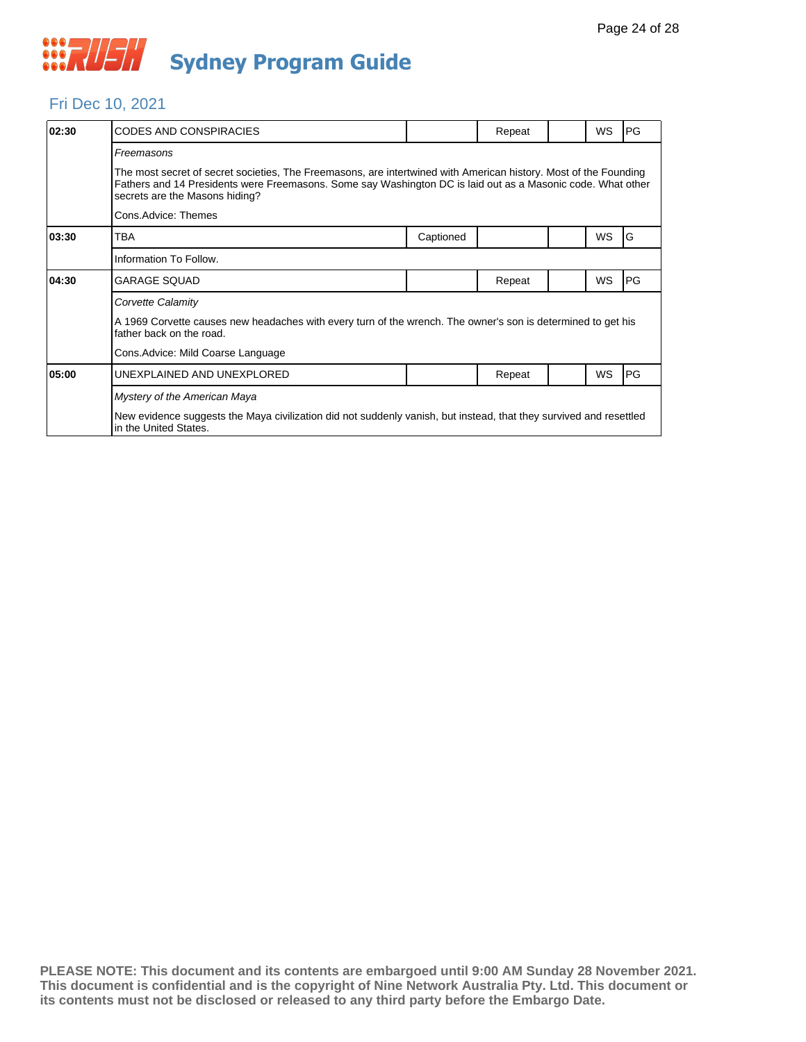

#### Fri Dec 10, 2021

| 02:30 | <b>CODES AND CONSPIRACIES</b>                                                                                                                                                                                                                                     |           | Repeat |  | <b>WS</b> | PG |  |  |
|-------|-------------------------------------------------------------------------------------------------------------------------------------------------------------------------------------------------------------------------------------------------------------------|-----------|--------|--|-----------|----|--|--|
|       | Freemasons                                                                                                                                                                                                                                                        |           |        |  |           |    |  |  |
|       | The most secret of secret societies, The Freemasons, are intertwined with American history. Most of the Founding<br>Fathers and 14 Presidents were Freemasons. Some say Washington DC is laid out as a Masonic code. What other<br>secrets are the Masons hiding? |           |        |  |           |    |  |  |
|       | Cons.Advice: Themes                                                                                                                                                                                                                                               |           |        |  |           |    |  |  |
| 03:30 | TBA                                                                                                                                                                                                                                                               | Captioned |        |  | <b>WS</b> | G  |  |  |
|       | Information To Follow.                                                                                                                                                                                                                                            |           |        |  |           |    |  |  |
| 04:30 | <b>GARAGE SQUAD</b>                                                                                                                                                                                                                                               |           | Repeat |  | WS        | PG |  |  |
|       | Corvette Calamity                                                                                                                                                                                                                                                 |           |        |  |           |    |  |  |
|       | A 1969 Corvette causes new headaches with every turn of the wrench. The owner's son is determined to get his<br>father back on the road.                                                                                                                          |           |        |  |           |    |  |  |
|       | Cons. Advice: Mild Coarse Language                                                                                                                                                                                                                                |           |        |  |           |    |  |  |
| 05:00 | UNEXPLAINED AND UNEXPLORED                                                                                                                                                                                                                                        |           | Repeat |  | WS        | PG |  |  |
|       | Mystery of the American Maya                                                                                                                                                                                                                                      |           |        |  |           |    |  |  |
|       | New evidence suggests the Maya civilization did not suddenly vanish, but instead, that they survived and resettled<br>in the United States.                                                                                                                       |           |        |  |           |    |  |  |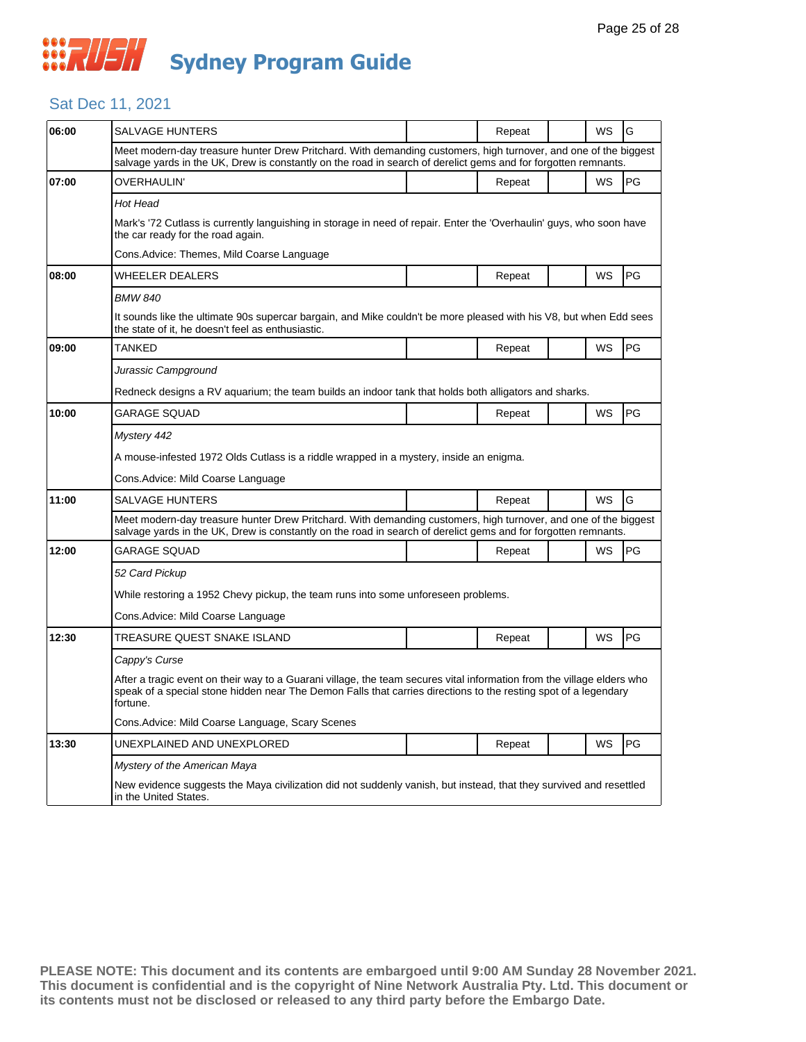#### Sat Dec 11, 2021

| 06:00 | SALVAGE HUNTERS                                                                                                                                                                                                                                       |  | Repeat |  | WS        | G         |  |  |
|-------|-------------------------------------------------------------------------------------------------------------------------------------------------------------------------------------------------------------------------------------------------------|--|--------|--|-----------|-----------|--|--|
|       | Meet modern-day treasure hunter Drew Pritchard. With demanding customers, high turnover, and one of the biggest<br>salvage yards in the UK, Drew is constantly on the road in search of derelict gems and for forgotten remnants.                     |  |        |  |           |           |  |  |
| 07:00 | OVERHAULIN'                                                                                                                                                                                                                                           |  | Repeat |  | WS        | PG        |  |  |
|       | Hot Head                                                                                                                                                                                                                                              |  |        |  |           |           |  |  |
|       | Mark's '72 Cutlass is currently languishing in storage in need of repair. Enter the 'Overhaulin' guys, who soon have<br>the car ready for the road again.                                                                                             |  |        |  |           |           |  |  |
|       | Cons.Advice: Themes, Mild Coarse Language                                                                                                                                                                                                             |  |        |  |           |           |  |  |
| 08:00 | WHEELER DEALERS                                                                                                                                                                                                                                       |  | Repeat |  | WS        | PG        |  |  |
|       | <b>BMW 840</b>                                                                                                                                                                                                                                        |  |        |  |           |           |  |  |
|       | It sounds like the ultimate 90s supercar bargain, and Mike couldn't be more pleased with his V8, but when Edd sees<br>the state of it, he doesn't feel as enthusiastic.                                                                               |  |        |  |           |           |  |  |
| 09:00 | <b>TANKED</b>                                                                                                                                                                                                                                         |  | Repeat |  | WS        | PG        |  |  |
|       | Jurassic Campground                                                                                                                                                                                                                                   |  |        |  |           |           |  |  |
|       | Redneck designs a RV aguarium; the team builds an indoor tank that holds both alligators and sharks.                                                                                                                                                  |  |        |  |           |           |  |  |
| 10:00 | GARAGE SQUAD                                                                                                                                                                                                                                          |  | Repeat |  | WS        | PG        |  |  |
|       | Mystery 442                                                                                                                                                                                                                                           |  |        |  |           |           |  |  |
|       | A mouse-infested 1972 Olds Cutlass is a riddle wrapped in a mystery, inside an enigma.                                                                                                                                                                |  |        |  |           |           |  |  |
|       | Cons.Advice: Mild Coarse Language                                                                                                                                                                                                                     |  |        |  |           |           |  |  |
| 11:00 | SALVAGE HUNTERS                                                                                                                                                                                                                                       |  | Repeat |  | <b>WS</b> | G         |  |  |
|       | Meet modern-day treasure hunter Drew Pritchard. With demanding customers, high turnover, and one of the biggest<br>salvage yards in the UK, Drew is constantly on the road in search of derelict gems and for forgotten remnants.                     |  |        |  |           |           |  |  |
| 12:00 | GARAGE SQUAD                                                                                                                                                                                                                                          |  | Repeat |  | <b>WS</b> | PG        |  |  |
|       | 52 Card Pickup                                                                                                                                                                                                                                        |  |        |  |           |           |  |  |
|       | While restoring a 1952 Chevy pickup, the team runs into some unforeseen problems.                                                                                                                                                                     |  |        |  |           |           |  |  |
|       | Cons.Advice: Mild Coarse Language                                                                                                                                                                                                                     |  |        |  |           |           |  |  |
| 12:30 | TREASURE QUEST SNAKE ISLAND                                                                                                                                                                                                                           |  | Repeat |  | WS        | <b>PG</b> |  |  |
|       | Cappy's Curse                                                                                                                                                                                                                                         |  |        |  |           |           |  |  |
|       | After a tragic event on their way to a Guarani village, the team secures vital information from the village elders who<br>speak of a special stone hidden near The Demon Falls that carries directions to the resting spot of a legendary<br>fortune. |  |        |  |           |           |  |  |
|       | Cons.Advice: Mild Coarse Language, Scary Scenes                                                                                                                                                                                                       |  |        |  |           |           |  |  |
| 13:30 | UNEXPLAINED AND UNEXPLORED                                                                                                                                                                                                                            |  | Repeat |  | WS        | PG        |  |  |
|       | Mystery of the American Maya                                                                                                                                                                                                                          |  |        |  |           |           |  |  |
|       | New evidence suggests the Maya civilization did not suddenly vanish, but instead, that they survived and resettled<br>in the United States.                                                                                                           |  |        |  |           |           |  |  |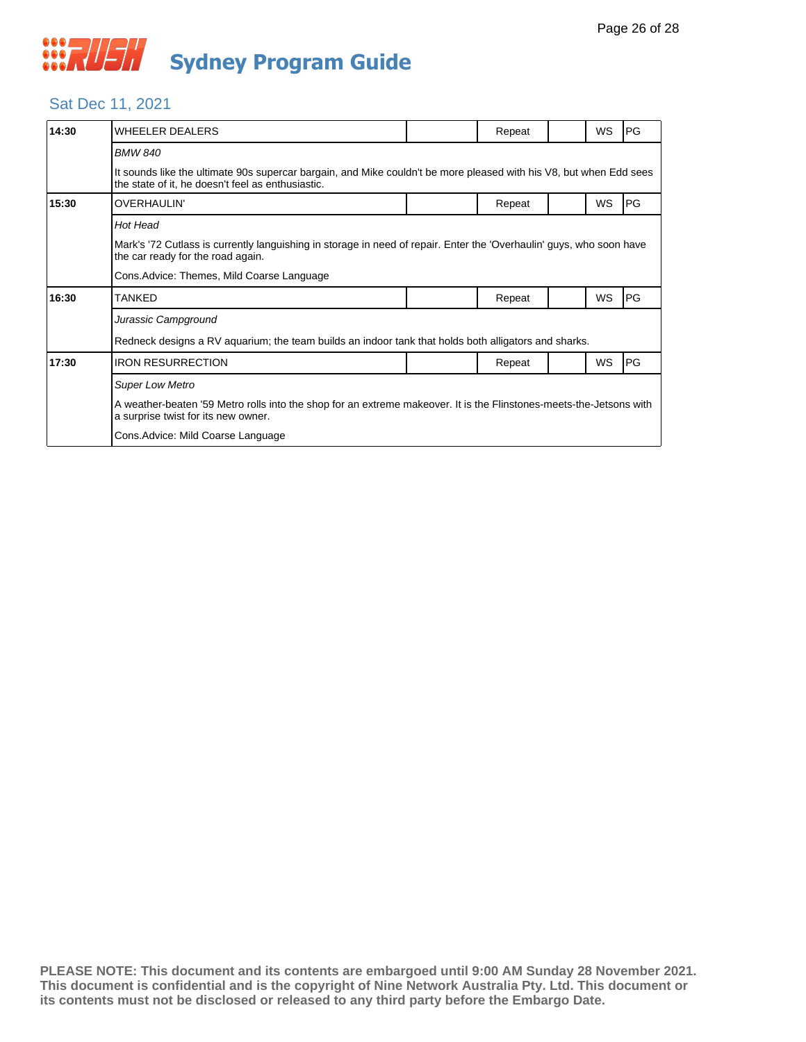

## Sat Dec 11, 2021

| 14:30 | <b>WHEELER DEALERS</b>                                                                                                                                                  |  | Repeat |  | <b>WS</b> | PG         |  |  |
|-------|-------------------------------------------------------------------------------------------------------------------------------------------------------------------------|--|--------|--|-----------|------------|--|--|
|       | <b>BMW 840</b>                                                                                                                                                          |  |        |  |           |            |  |  |
|       | It sounds like the ultimate 90s supercar bargain, and Mike couldn't be more pleased with his V8, but when Edd sees<br>the state of it, he doesn't feel as enthusiastic. |  |        |  |           |            |  |  |
| 15:30 | <b>OVERHAULIN'</b>                                                                                                                                                      |  | Repeat |  | WS        | PG         |  |  |
|       | Hot Head                                                                                                                                                                |  |        |  |           |            |  |  |
|       | Mark's '72 Cutlass is currently languishing in storage in need of repair. Enter the 'Overhaulin' guys, who soon have<br>the car ready for the road again.               |  |        |  |           |            |  |  |
|       | Cons. Advice: Themes, Mild Coarse Language                                                                                                                              |  |        |  |           |            |  |  |
| 16:30 | TANKED                                                                                                                                                                  |  | Repeat |  | WS        | <b>IPG</b> |  |  |
|       | Jurassic Campground                                                                                                                                                     |  |        |  |           |            |  |  |
|       | Redneck designs a RV aquarium; the team builds an indoor tank that holds both alligators and sharks.                                                                    |  |        |  |           |            |  |  |
| 17:30 | <b>IRON RESURRECTION</b>                                                                                                                                                |  | Repeat |  | WS        | PG         |  |  |
|       | <b>Super Low Metro</b>                                                                                                                                                  |  |        |  |           |            |  |  |
|       | A weather-beaten '59 Metro rolls into the shop for an extreme makeover. It is the Flinstones-meets-the-Jetsons with<br>a surprise twist for its new owner.              |  |        |  |           |            |  |  |
|       | Cons. Advice: Mild Coarse Language                                                                                                                                      |  |        |  |           |            |  |  |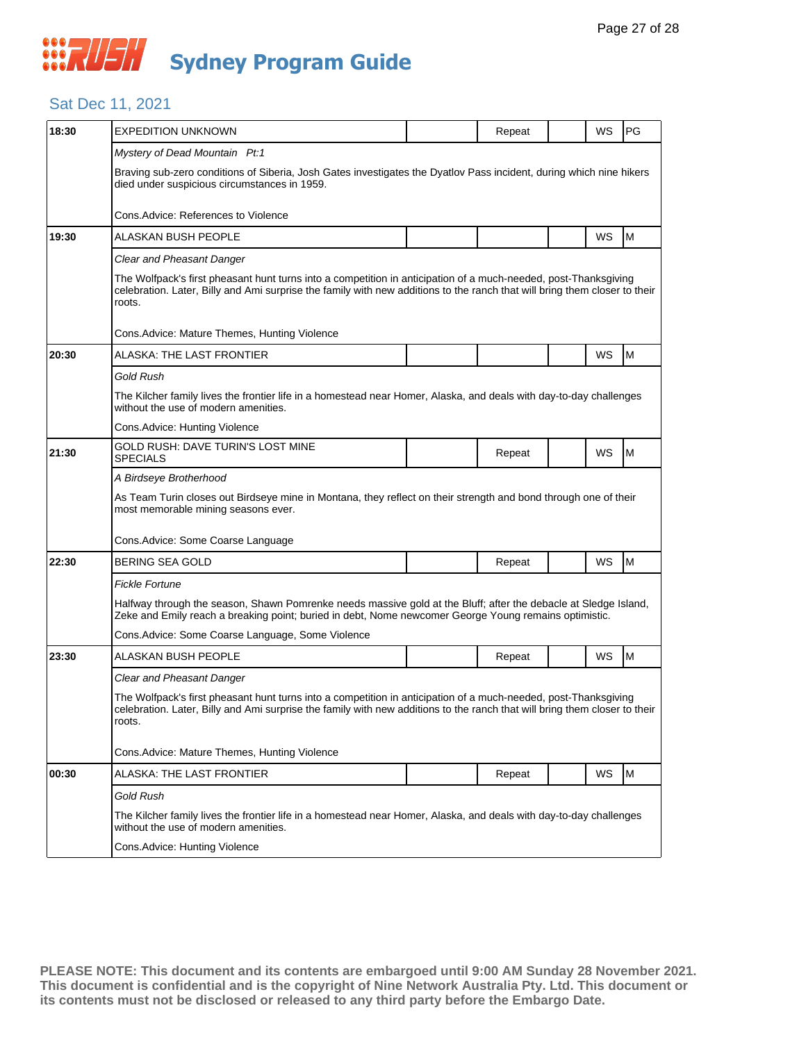## *CONSTRUSH* **Sydney Program Guide**

#### Sat Dec 11, 2021

| 18:30 | <b>EXPEDITION UNKNOWN</b>                                                                                                                                                                                                                               |  | Repeat |  | WS | PG |  |  |
|-------|---------------------------------------------------------------------------------------------------------------------------------------------------------------------------------------------------------------------------------------------------------|--|--------|--|----|----|--|--|
|       | Mystery of Dead Mountain Pt:1                                                                                                                                                                                                                           |  |        |  |    |    |  |  |
|       | Braving sub-zero conditions of Siberia, Josh Gates investigates the Dyatlov Pass incident, during which nine hikers<br>died under suspicious circumstances in 1959.                                                                                     |  |        |  |    |    |  |  |
|       | Cons. Advice: References to Violence                                                                                                                                                                                                                    |  |        |  |    |    |  |  |
| 19:30 | ALASKAN BUSH PEOPLE                                                                                                                                                                                                                                     |  |        |  | WS | M  |  |  |
|       | Clear and Pheasant Danger                                                                                                                                                                                                                               |  |        |  |    |    |  |  |
|       | The Wolfpack's first pheasant hunt turns into a competition in anticipation of a much-needed, post-Thanksgiving<br>celebration. Later, Billy and Ami surprise the family with new additions to the ranch that will bring them closer to their<br>roots. |  |        |  |    |    |  |  |
|       | Cons.Advice: Mature Themes, Hunting Violence                                                                                                                                                                                                            |  |        |  |    |    |  |  |
| 20:30 | ALASKA: THE LAST FRONTIER                                                                                                                                                                                                                               |  |        |  | WS | M  |  |  |
|       | <b>Gold Rush</b>                                                                                                                                                                                                                                        |  |        |  |    |    |  |  |
|       | The Kilcher family lives the frontier life in a homestead near Homer, Alaska, and deals with day-to-day challenges<br>without the use of modern amenities.                                                                                              |  |        |  |    |    |  |  |
|       | Cons.Advice: Hunting Violence                                                                                                                                                                                                                           |  |        |  |    |    |  |  |
| 21:30 | GOLD RUSH: DAVE TURIN'S LOST MINE<br><b>SPECIALS</b>                                                                                                                                                                                                    |  | Repeat |  | WS | M  |  |  |
|       | A Birdseye Brotherhood                                                                                                                                                                                                                                  |  |        |  |    |    |  |  |
|       | As Team Turin closes out Birdseye mine in Montana, they reflect on their strength and bond through one of their<br>most memorable mining seasons ever.                                                                                                  |  |        |  |    |    |  |  |
|       | Cons. Advice: Some Coarse Language                                                                                                                                                                                                                      |  |        |  |    |    |  |  |
| 22:30 | <b>BERING SEA GOLD</b>                                                                                                                                                                                                                                  |  | Repeat |  | WS | M  |  |  |
|       | <b>Fickle Fortune</b>                                                                                                                                                                                                                                   |  |        |  |    |    |  |  |
|       | Halfway through the season, Shawn Pomrenke needs massive gold at the Bluff; after the debacle at Sledge Island,<br>Zeke and Emily reach a breaking point; buried in debt, Nome newcomer George Young remains optimistic.                                |  |        |  |    |    |  |  |
|       | Cons.Advice: Some Coarse Language, Some Violence                                                                                                                                                                                                        |  |        |  |    |    |  |  |
| 23:30 | ALASKAN BUSH PEOPLE                                                                                                                                                                                                                                     |  | Repeat |  | WS | M  |  |  |
|       | <b>Clear and Pheasant Danger</b>                                                                                                                                                                                                                        |  |        |  |    |    |  |  |
|       | The Wolfpack's first pheasant hunt turns into a competition in anticipation of a much-needed, post-Thanksgiving<br>celebration. Later, Billy and Ami surprise the family with new additions to the ranch that will bring them closer to their<br>roots. |  |        |  |    |    |  |  |
|       | Cons. Advice: Mature Themes, Hunting Violence                                                                                                                                                                                                           |  |        |  |    |    |  |  |
| 00:30 | ALASKA: THE LAST FRONTIER                                                                                                                                                                                                                               |  | Repeat |  | WS | M  |  |  |
|       | Gold Rush                                                                                                                                                                                                                                               |  |        |  |    |    |  |  |
|       | The Kilcher family lives the frontier life in a homestead near Homer, Alaska, and deals with day-to-day challenges<br>without the use of modern amenities.                                                                                              |  |        |  |    |    |  |  |
|       | Cons.Advice: Hunting Violence                                                                                                                                                                                                                           |  |        |  |    |    |  |  |